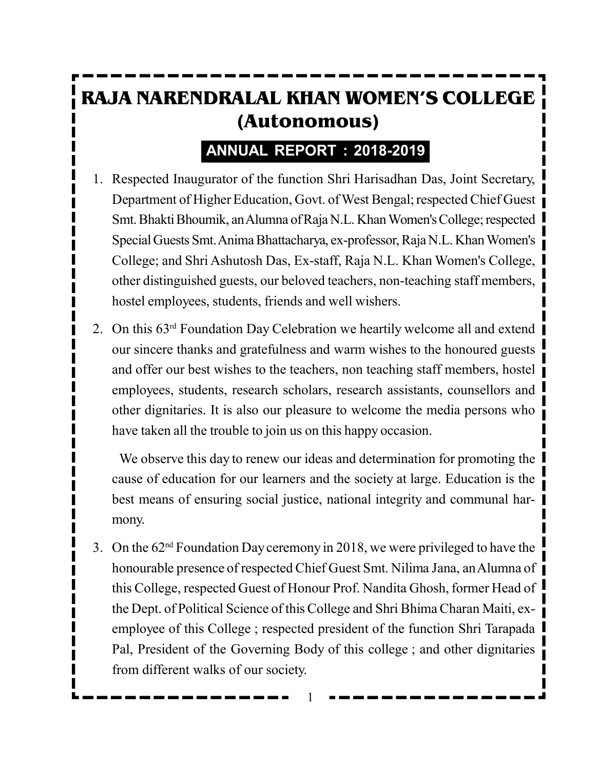# **RAJA NARENDRALAL KHAN WOMEN'S COLLEGE (Autonomous)**

## **ANNUAL REPORT : 2018-2019**

- 1. Respected Inaugurator of the function Shri Harisadhan Das, Joint Secretary, Department of Higher Education, Govt. of West Bengal; respected Chief Guest Smt. Bhakti Bhoumik, an Alumna of Raja N.L. Khan Women's College; respected Special Guests Smt. Anima Bhattacharya, ex-professor, Raja N.L. Khan Women's College; and Shri Ashutosh Das, Ex-staff, Raja N.L. Khan Women's College, other distinguished guests, our beloved teachers, non-teaching staff members, hostel employees, students, friends and well wishers.
- 2. On this 63rd Foundation Day Celebration we heartily welcome all and extend our sincere thanks and gratefulness and warm wishes to the honoured guests and offer our best wishes to the teachers, non teaching staff members, hostel employees, students, research scholars, research assistants, counsellors and other dignitaries. It is also our pleasure to welcome the media persons who have taken all the trouble to join us on this happy occasion.

We observe this day to renew our ideas and determination for promoting the cause of education for our learners and the society at large. Education is the best means of ensuring social justice, national integrity and communal harmony.

3. On the 62nd Foundation Day ceremony in 2018, we were privileged to have the honourable presence of respected Chief Guest Smt. Nilima Jana, an Alumna of this College, respected Guest of Honour Prof. Nandita Ghosh, former Head of the Dept. of Political Science of this College and Shri Bhima Charan Maiti, exemployee of this College ; respected president of the function Shri Tarapada Pal, President of the Governing Body of this college ; and other dignitaries from different walks of our society.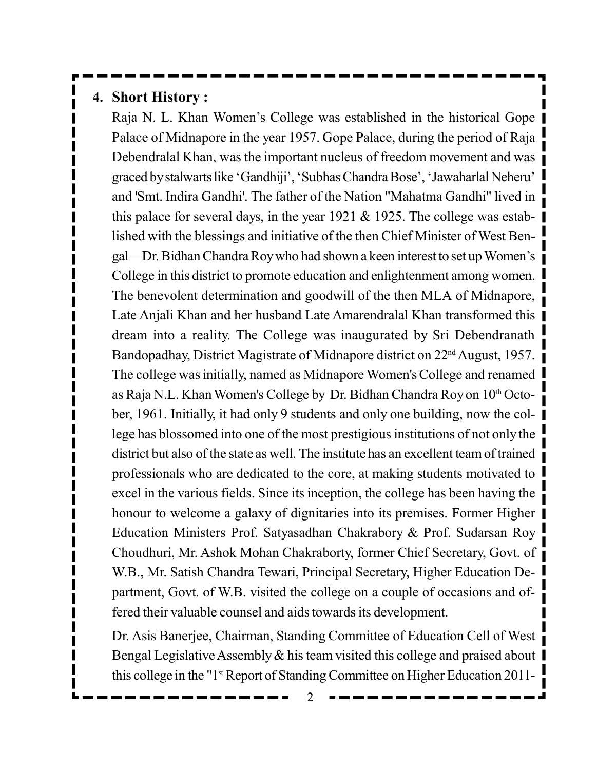#### **4. Short History :**

Raja N. L. Khan Women's College was established in the historical Gope Palace of Midnapore in the year 1957. Gope Palace, during the period of Raja Debendralal Khan, was the important nucleus of freedom movement and was graced by stalwarts like 'Gandhiji', 'Subhas Chandra Bose', 'Jawaharlal Neheru' and 'Smt. Indira Gandhi'. The father of the Nation "Mahatma Gandhi" lived in this palace for several days, in the year 1921 & 1925. The college was established with the blessings and initiative of the then Chief Minister of West Bengal—Dr. Bidhan Chandra Roy who had shown a keen interest to set up Women's College in this district to promote education and enlightenment among women. The benevolent determination and goodwill of the then MLA of Midnapore, Late Anjali Khan and her husband Late Amarendralal Khan transformed this dream into a reality. The College was inaugurated by Sri Debendranath Bandopadhay, District Magistrate of Midnapore district on 22nd August, 1957. The college was initially, named as Midnapore Women's College and renamed as Raja N.L. Khan Women's College by Dr. Bidhan Chandra Roy on 10<sup>th</sup> October, 1961. Initially, it had only 9 students and only one building, now the college has blossomed into one of the most prestigious institutions of not only the district but also of the state as well. The institute has an excellent team of trained professionals who are dedicated to the core, at making students motivated to excel in the various fields. Since its inception, the college has been having the honour to welcome a galaxy of dignitaries into its premises. Former Higher Education Ministers Prof. Satyasadhan Chakrabory & Prof. Sudarsan Roy Choudhuri, Mr. Ashok Mohan Chakraborty, former Chief Secretary, Govt. of W.B., Mr. Satish Chandra Tewari, Principal Secretary, Higher Education Department, Govt. of W.B. visited the college on a couple of occasions and offered their valuable counsel and aids towards its development.

Dr. Asis Banerjee, Chairman, Standing Committee of Education Cell of West Bengal Legislative Assembly & his team visited this college and praised about this college in the "1<sup>st</sup> Report of Standing Committee on Higher Education 2011-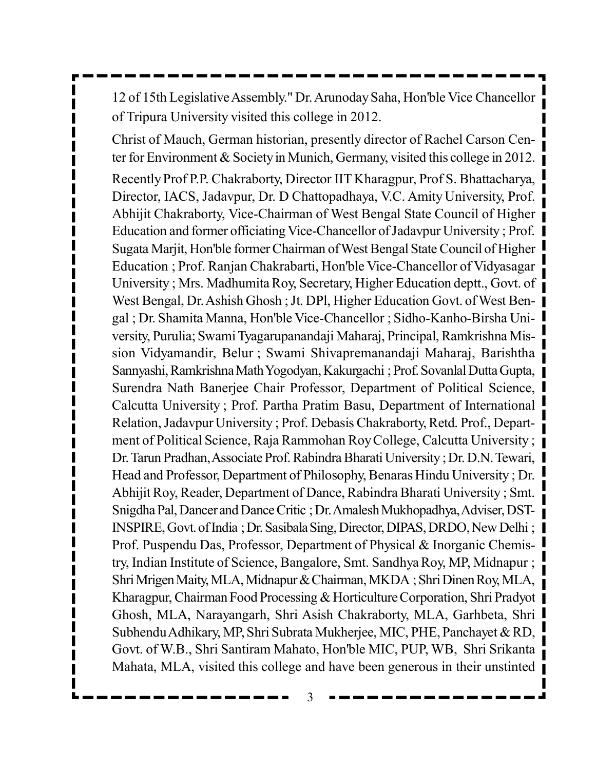12 of 15th Legislative Assembly." Dr. Arunoday Saha, Hon'ble Vice Chancellor of Tripura University visited this college in 2012.

Christ of Mauch, German historian, presently director of Rachel Carson Center for Environment & Society in Munich, Germany, visited this college in 2012. Recently Prof P.P. Chakraborty, Director IIT Kharagpur, Prof S. Bhattacharya, Director, IACS, Jadavpur, Dr. D Chattopadhaya, V.C. Amity University, Prof. Abhijit Chakraborty, Vice-Chairman of West Bengal State Council of Higher Education and former officiating Vice-Chancellor of Jadavpur University ; Prof. Sugata Marjit, Hon'ble former Chairman of West Bengal State Council of Higher Education ; Prof. Ranjan Chakrabarti, Hon'ble Vice-Chancellor of Vidyasagar University ; Mrs. Madhumita Roy, Secretary, Higher Education deptt., Govt. of West Bengal, Dr. Ashish Ghosh ; Jt. DPl, Higher Education Govt. of West Bengal ; Dr. Shamita Manna, Hon'ble Vice-Chancellor ; Sidho-Kanho-Birsha University, Purulia; Swami Tyagarupanandaji Maharaj, Principal, Ramkrishna Mission Vidyamandir, Belur ; Swami Shivapremanandaji Maharaj, Barishtha Sannyashi, Ramkrishna Math Yogodyan, Kakurgachi ; Prof. Sovanlal Dutta Gupta, Surendra Nath Banerjee Chair Professor, Department of Political Science, Calcutta University ; Prof. Partha Pratim Basu, Department of International Relation, Jadavpur University ; Prof. Debasis Chakraborty, Retd. Prof., Department of Political Science, Raja Rammohan Roy College, Calcutta University ; Dr. Tarun Pradhan, Associate Prof. Rabindra Bharati University ; Dr. D.N. Tewari, Head and Professor, Department of Philosophy, Benaras Hindu University ; Dr. Abhijit Roy, Reader, Department of Dance, Rabindra Bharati University ; Smt. Snigdha Pal, Dancer and Dance Critic ; Dr. Amalesh Mukhopadhya, Adviser, DST-INSPIRE, Govt. of India ; Dr. Sasibala Sing, Director, DIPAS, DRDO, New Delhi ; Prof. Puspendu Das, Professor, Department of Physical & Inorganic Chemistry, Indian Institute of Science, Bangalore, Smt. Sandhya Roy, MP, Midnapur ; Shri Mrigen Maity, MLA, Midnapur & Chairman, MKDA ; Shri Dinen Roy, MLA, Kharagpur, Chairman Food Processing & Horticulture Corporation, Shri Pradyot Ghosh, MLA, Narayangarh, Shri Asish Chakraborty, MLA, Garhbeta, Shri Subhendu Adhikary, MP, Shri Subrata Mukherjee, MIC, PHE, Panchayet & RD, Govt. of W.B., Shri Santiram Mahato, Hon'ble MIC, PUP, WB, Shri Srikanta Mahata, MLA, visited this college and have been generous in their unstinted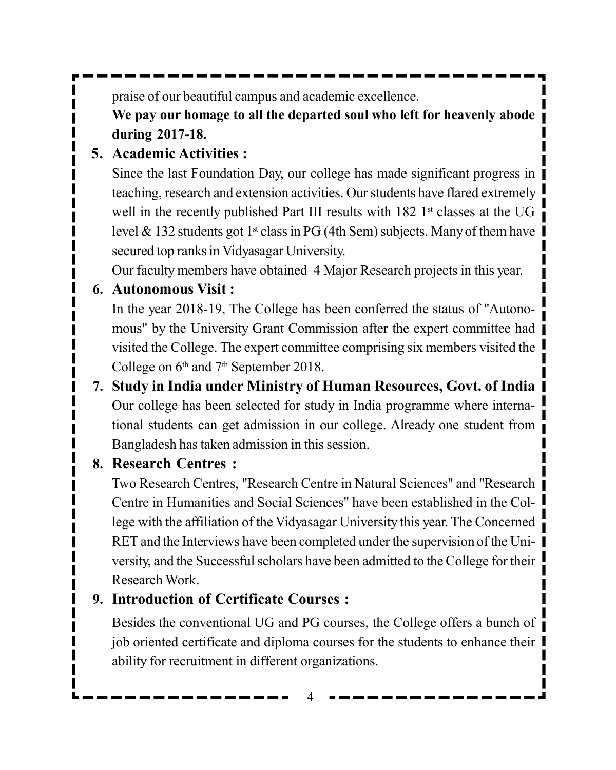praise of our beautiful campus and academic excellence.

**We pay our homage to all the departed soul who left for heavenly abode during 2017-18.**

## **5. Academic Activities :**

Since the last Foundation Day, our college has made significant progress in teaching, research and extension activities. Our students have flared extremely well in the recently published Part III results with  $182 \text{ 1st}$  classes at the UG level & 132 students got 1<sup>st</sup> class in PG (4th Sem) subjects. Many of them have secured top ranks in Vidyasagar University.

Our faculty members have obtained 4 Major Research projects in this year.

## **6. Autonomous Visit :**

In the year 2018-19, The College has been conferred the status of "Autonomous" by the University Grant Commission after the expert committee had visited the College. The expert committee comprising six members visited the College on  $6<sup>th</sup>$  and  $7<sup>th</sup>$  September 2018.

**7. Study in India under Ministry of Human Resources, Govt. of India** Our college has been selected for study in India programme where international students can get admission in our college. Already one student from Bangladesh has taken admission in this session.

## **8. Research Centres :**

Two Research Centres, "Research Centre in Natural Sciences" and "Research Centre in Humanities and Social Sciences" have been established in the College with the affiliation of the Vidyasagar University this year. The Concerned RET and the Interviews have been completed under the supervision of the University, and the Successful scholars have been admitted to the College for their Research Work.

## **9. Introduction of Certificate Courses :**

Besides the conventional UG and PG courses, the College offers a bunch of job oriented certificate and diploma courses for the students to enhance their ability for recruitment in different organizations.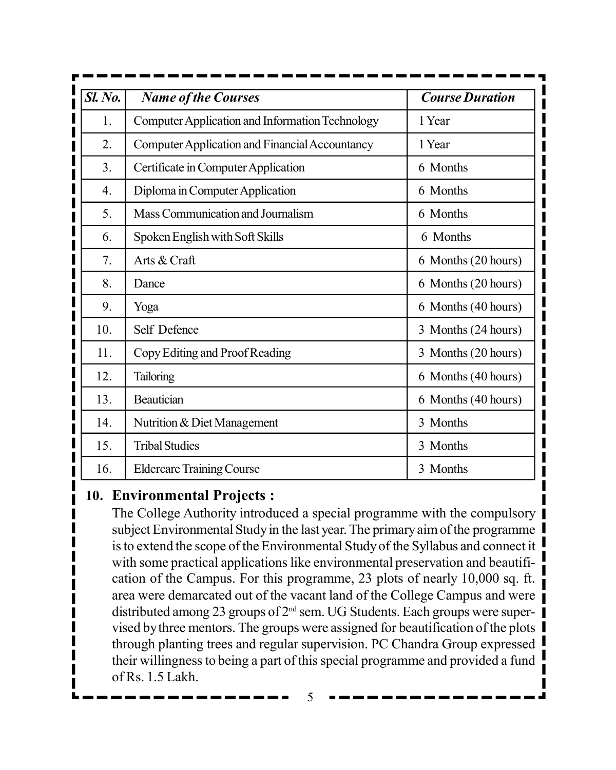| Sl. No.        | <b>Name of the Courses</b>                            | <b>Course Duration</b> |
|----------------|-------------------------------------------------------|------------------------|
| 1.             | Computer Application and Information Technology       | 1 Year                 |
| 2.             | <b>Computer Application and Financial Accountancy</b> | 1 Year                 |
| 3 <sub>1</sub> | Certificate in Computer Application                   | 6 Months               |
| 4.             | Diploma in Computer Application                       | 6 Months               |
| 5 <sub>1</sub> | Mass Communication and Journalism                     | 6 Months               |
| 6.             | Spoken English with Soft Skills                       | 6 Months               |
| 7.             | Arts & Craft                                          | 6 Months (20 hours)    |
| 8.             | Dance                                                 | 6 Months (20 hours)    |
| 9.             | Yoga                                                  | 6 Months (40 hours)    |
| 10.            | Self Defence                                          | 3 Months (24 hours)    |
| 11.            | Copy Editing and Proof Reading                        | 3 Months (20 hours)    |
| 12.            | <b>Tailoring</b>                                      | 6 Months (40 hours)    |
| 13.            | Beautician                                            | 6 Months (40 hours)    |
| 14.            | Nutrition & Diet Management                           | 3 Months               |
| 15.            | <b>Tribal Studies</b>                                 | 3 Months               |
| 16.            | <b>Eldercare Training Course</b>                      | 3 Months               |

#### **10. Environmental Projects :**

The College Authority introduced a special programme with the compulsory subject Environmental Study in the last year. The primary aim of the programme is to extend the scope of the Environmental Study of the Syllabus and connect it with some practical applications like environmental preservation and beautification of the Campus. For this programme, 23 plots of nearly 10,000 sq. ft. area were demarcated out of the vacant land of the College Campus and were distributed among 23 groups of  $2<sup>nd</sup>$  sem. UG Students. Each groups were supervised by three mentors. The groups were assigned for beautification of the plots through planting trees and regular supervision. PC Chandra Group expressed their willingness to being a part of this special programme and provided a fund of Rs. 1.5 Lakh.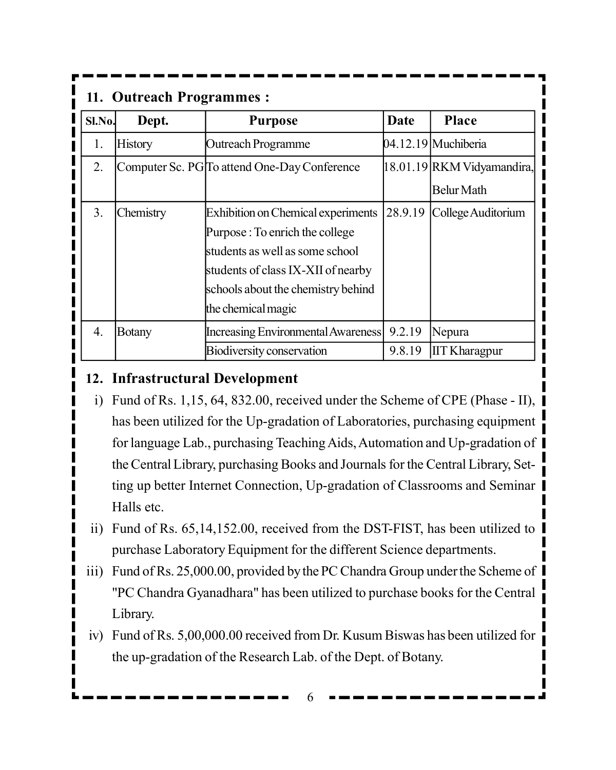|        | 11. Outreach Programmes: |                                              |         |                            |  |  |
|--------|--------------------------|----------------------------------------------|---------|----------------------------|--|--|
| Sl.No. | Dept.                    | <b>Purpose</b>                               | Date    | <b>Place</b>               |  |  |
| 1.     | <b>History</b>           | <b>Outreach Programme</b>                    |         | 04.12.19 Muchiberia        |  |  |
| 2.     |                          | Computer Sc. PG To attend One-Day Conference |         | 18.01.19 RKM Vidyamandira, |  |  |
|        |                          |                                              |         | <b>Belur Math</b>          |  |  |
| 3.     | Chemistry                | <b>Exhibition on Chemical experiments</b>    | 28.9.19 | College Auditorium         |  |  |
|        |                          | Purpose : To enrich the college              |         |                            |  |  |
|        |                          | students as well as some school              |         |                            |  |  |
|        |                          | students of class IX-XII of nearby           |         |                            |  |  |
|        |                          | schools about the chemistry behind           |         |                            |  |  |
|        |                          | the chemical magic                           |         |                            |  |  |
| 4.     | <b>Botany</b>            | Increasing Environmental Awareness           | 9.2.19  | Nepura                     |  |  |
|        |                          | Biodiversity conservation                    | 9.8.19  | <b>IIT Kharagpur</b>       |  |  |

#### **12. Infrastructural Development**

- i) Fund of Rs. 1,15, 64, 832.00, received under the Scheme of CPE (Phase II), has been utilized for the Up-gradation of Laboratories, purchasing equipment for language Lab., purchasing Teaching Aids, Automation and Up-gradation of the Central Library, purchasing Books and Journals for the Central Library, Setting up better Internet Connection, Up-gradation of Classrooms and Seminar Halls etc.
- ii) Fund of Rs. 65,14,152.00, received from the DST-FIST, has been utilized to purchase Laboratory Equipment for the different Science departments.
- iii) Fund of Rs. 25,000.00, provided by the PC Chandra Group under the Scheme of 1 "PC Chandra Gyanadhara" has been utilized to purchase books for the Central Library.
- iv) Fund of Rs. 5,00,000.00 received from Dr. Kusum Biswas has been utilized for the up-gradation of the Research Lab. of the Dept. of Botany.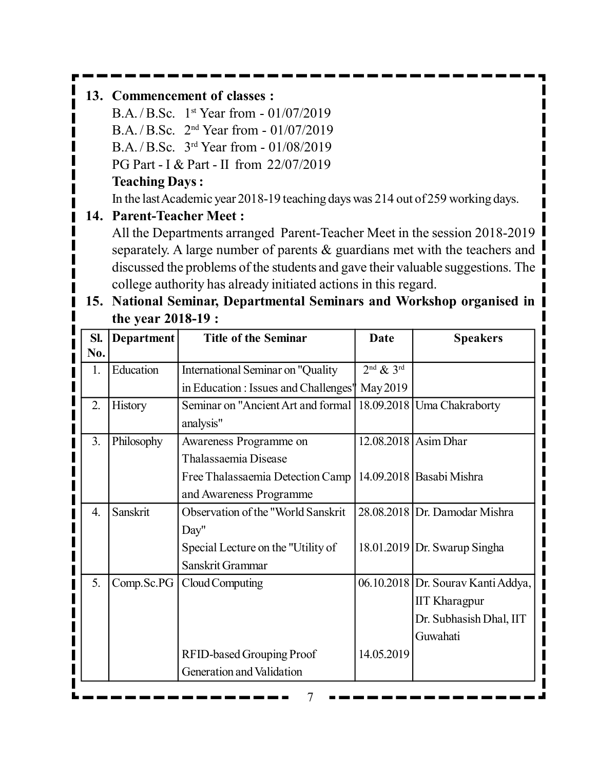#### **13. Commencement of classes :**

B.A. / B.Sc. 1<sup>st</sup> Year from - 01/07/2019 B.A. / B.Sc. 2 nd Year from - 01/07/2019 B.A. / B.Sc. 3 rd Year from - 01/08/2019 PG Part - I & Part - II from 22/07/2019 **Teaching Days :**

In the last Academic year 2018-19 teaching days was 214 out of 259 working days.

#### **14. Parent-Teacher Meet :**

All the Departments arranged Parent-Teacher Meet in the session 2018-2019 separately. A large number of parents & guardians met with the teachers and discussed the problems of the students and gave their valuable suggestions. The college authority has already initiated actions in this regard.

|                | UIC VCAL 4010-17. |                                       |               |                                      |  |  |
|----------------|-------------------|---------------------------------------|---------------|--------------------------------------|--|--|
| SI.            | <b>Department</b> | <b>Title of the Seminar</b>           | Date          | <b>Speakers</b>                      |  |  |
| No.            |                   |                                       |               |                                      |  |  |
| 1.             | Education         | International Seminar on "Quality     | $2nd$ & $3rd$ |                                      |  |  |
|                |                   | in Education : Issues and Challenges' | May 2019      |                                      |  |  |
| 2.             | <b>History</b>    | Seminar on "Ancient Art and formal    |               | 18.09.2018 Uma Chakraborty           |  |  |
|                |                   | analysis"                             |               |                                      |  |  |
| 3 <sub>1</sub> | Philosophy        | Awareness Programme on                |               | 12.08.2018 Asim Dhar                 |  |  |
|                |                   | Thalassaemia Disease                  |               |                                      |  |  |
|                |                   | Free Thalassaemia Detection Camp      |               | 14.09.2018   Basabi Mishra           |  |  |
|                |                   | and Awareness Programme               |               |                                      |  |  |
| 4.             | Sanskrit          | Observation of the "World Sanskrit"   |               | 28.08.2018 Dr. Damodar Mishra        |  |  |
|                |                   | Day"                                  |               |                                      |  |  |
|                |                   | Special Lecture on the "Utility of    |               | 18.01.2019 Dr. Swarup Singha         |  |  |
|                |                   | Sanskrit Grammar                      |               |                                      |  |  |
| 5.             | Comp.Sc.PG        | Cloud Computing                       |               | 06.10.2018   Dr. Sourav Kanti Addya, |  |  |
|                |                   |                                       |               | <b>IIT Kharagpur</b>                 |  |  |
|                |                   |                                       |               | Dr. Subhasish Dhal, IIT              |  |  |
|                |                   |                                       |               | Guwahati                             |  |  |
|                |                   | RFID-based Grouping Proof             | 14.05.2019    |                                      |  |  |
|                |                   | Generation and Validation             |               |                                      |  |  |

**15. National Seminar, Departmental Seminars and Workshop organised in the year 2018-19 :**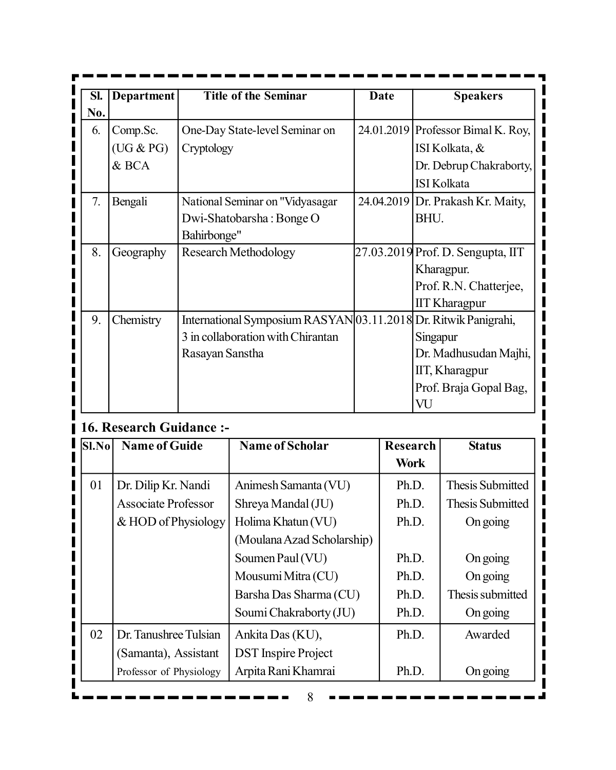| $\overline{\text{SL}}$ | <b>Department</b>          |                 | <b>Title of the Seminar</b>                                                                          |       | <b>Date</b>     |          | <b>Speakers</b>                                      |
|------------------------|----------------------------|-----------------|------------------------------------------------------------------------------------------------------|-------|-----------------|----------|------------------------------------------------------|
| No.<br>6.              |                            |                 |                                                                                                      |       |                 |          |                                                      |
|                        | Comp.Sc.<br>(UG & PG)      | Cryptology      | One-Day State-level Seminar on                                                                       |       |                 |          | 24.01.2019 Professor Bimal K. Roy,<br>ISI Kolkata, & |
|                        | & BCA                      |                 |                                                                                                      |       |                 |          | Dr. Debrup Chakraborty,                              |
|                        |                            |                 |                                                                                                      |       |                 |          | <b>ISI Kolkata</b>                                   |
| 7.                     | Bengali                    |                 | National Seminar on "Vidyasagar                                                                      |       |                 |          | 24.04.2019 Dr. Prakash Kr. Maity,                    |
|                        |                            |                 | Dwi-Shatobarsha: Bonge O                                                                             |       |                 | BHU.     |                                                      |
|                        |                            | Bahirbonge"     |                                                                                                      |       |                 |          |                                                      |
| 8.                     | Geography                  |                 | <b>Research Methodology</b>                                                                          |       |                 |          | 27.03.2019 Prof. D. Sengupta, IIT                    |
|                        |                            |                 |                                                                                                      |       |                 |          | Kharagpur.                                           |
|                        |                            |                 |                                                                                                      |       |                 |          | Prof. R.N. Chatterjee,                               |
|                        |                            |                 |                                                                                                      |       |                 |          | <b>IIT Kharagpur</b>                                 |
| 9.                     | Chemistry                  |                 | International Symposium RASYAN 03.11.2018 Dr. Ritwik Panigrahi,<br>3 in collaboration with Chirantan |       |                 |          |                                                      |
|                        |                            | Rasayan Sanstha |                                                                                                      |       |                 | Singapur | Dr. Madhusudan Majhi,                                |
|                        |                            |                 |                                                                                                      |       |                 |          | IIT, Kharagpur                                       |
|                        |                            |                 |                                                                                                      |       |                 |          | Prof. Braja Gopal Bag,                               |
|                        |                            |                 |                                                                                                      |       |                 | VU       |                                                      |
|                        | 16. Research Guidance:-    |                 |                                                                                                      |       |                 |          |                                                      |
| Sl.No                  | <b>Name of Guide</b>       |                 | <b>Name of Scholar</b>                                                                               |       | <b>Research</b> |          | <b>Status</b>                                        |
|                        |                            |                 |                                                                                                      |       | <b>Work</b>     |          |                                                      |
| 01                     | Dr. Dilip Kr. Nandi        |                 | Animesh Samanta (VU)                                                                                 |       | Ph.D.           |          | <b>Thesis Submitted</b>                              |
|                        | <b>Associate Professor</b> |                 | Shreya Mandal (JU)                                                                                   | Ph.D. |                 |          | Thesis Submitted                                     |
|                        | & HOD of Physiology        |                 | Holima Khatun (VU)                                                                                   |       | Ph.D.           |          | On going                                             |
|                        |                            |                 | (Moulana Azad Scholarship)                                                                           |       |                 |          |                                                      |
|                        |                            |                 | Soumen Paul (VU)                                                                                     |       | Ph.D.           |          | On going                                             |
|                        |                            |                 | Mousumi Mitra (CU)                                                                                   |       | Ph.D.           |          | On going                                             |
|                        |                            |                 | Barsha Das Sharma (CU)                                                                               |       | Ph.D.           |          | Thesis submitted                                     |
|                        |                            |                 | Soumi Chakraborty (JU)                                                                               |       | Ph.D.           |          | On going                                             |
| 02                     | Dr. Tanushree Tulsian      |                 | Ankita Das (KU),                                                                                     |       | Ph.D.           |          | Awarded                                              |
|                        | (Samanta), Assistant       |                 | <b>DST</b> Inspire Project                                                                           |       |                 |          |                                                      |
|                        | Professor of Physiology    |                 | Arpita Rani Khamrai                                                                                  |       | Ph.D.           |          | On going                                             |

8

 $\blacksquare$  .

<u> Lassesso</u>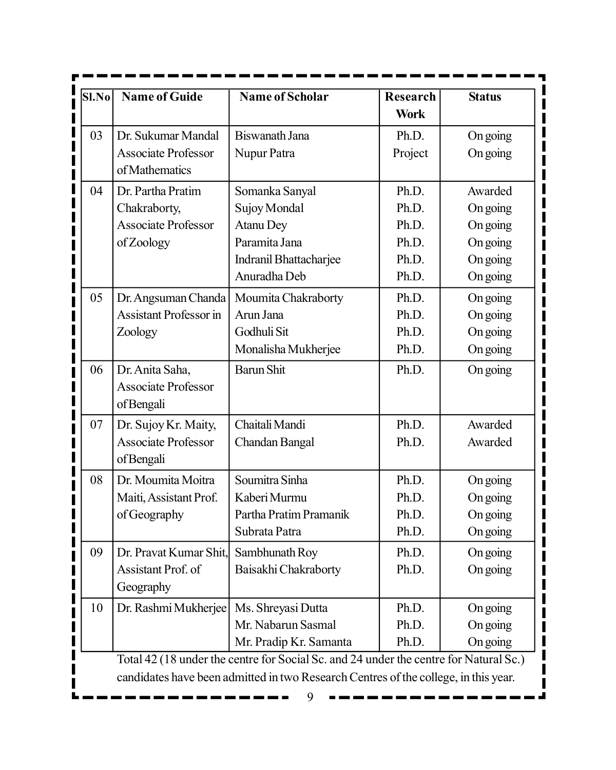| S1.No   | <b>Name of Guide</b>                                                                | Name of Scholar                                                                       | <b>Research</b> | <b>Status</b> |  |
|---------|-------------------------------------------------------------------------------------|---------------------------------------------------------------------------------------|-----------------|---------------|--|
|         |                                                                                     |                                                                                       | <b>Work</b>     |               |  |
| I<br>03 | Dr. Sukumar Mandal                                                                  | Biswanath Jana                                                                        | Ph.D.           | On going      |  |
| Ī<br>I  | <b>Associate Professor</b>                                                          | Nupur Patra                                                                           | Project         | On going      |  |
|         | of Mathematics                                                                      |                                                                                       |                 |               |  |
| 04      | Dr. Partha Pratim                                                                   | Somanka Sanyal                                                                        | Ph.D.           | Awarded       |  |
|         | Chakraborty,                                                                        | Sujoy Mondal                                                                          | Ph.D.           | On going      |  |
|         | <b>Associate Professor</b>                                                          | <b>Atanu Dey</b>                                                                      | Ph.D.           | On going      |  |
|         | of Zoology                                                                          | Paramita Jana                                                                         | Ph.D.           | On going      |  |
|         |                                                                                     | Indranil Bhattacharjee                                                                | Ph.D.           | On going      |  |
|         |                                                                                     | Anuradha Deb                                                                          | Ph.D.           | On going      |  |
| 05      | Dr. Angsuman Chanda                                                                 | Moumita Chakraborty                                                                   | Ph.D.           | On going      |  |
|         | <b>Assistant Professor in</b>                                                       | Arun Jana                                                                             | Ph.D.           | On going      |  |
| I       | Zoology                                                                             | Godhuli Sit                                                                           | Ph.D.           | On going      |  |
|         |                                                                                     | Monalisha Mukherjee                                                                   | Ph.D.           | On going      |  |
| 06      | Dr. Anita Saha,                                                                     | <b>Barun Shit</b>                                                                     | Ph.D.           | On going      |  |
|         | <b>Associate Professor</b>                                                          |                                                                                       |                 |               |  |
| I       | of Bengali                                                                          |                                                                                       |                 |               |  |
| 07      | Dr. Sujoy Kr. Maity,                                                                | Chaitali Mandi                                                                        | Ph.D.           | Awarded       |  |
| I       | <b>Associate Professor</b>                                                          | Chandan Bangal                                                                        | Ph.D.           | Awarded       |  |
| I<br>I  | of Bengali                                                                          |                                                                                       |                 |               |  |
| 08      | Dr. Moumita Moitra                                                                  | Soumitra Sinha                                                                        | Ph.D.           | On going      |  |
|         | Maiti, Assistant Prof.                                                              | Kaberi Murmu                                                                          | Ph.D.           | On going      |  |
|         | of Geography                                                                        | Partha Pratim Pramanik                                                                | Ph.D.           | On going      |  |
|         |                                                                                     | Subrata Patra                                                                         | Ph.D.           | On going      |  |
| 09      | Dr. Pravat Kumar Shit, Sambhunath Roy                                               |                                                                                       | Ph.D.           | On going      |  |
| I       | Assistant Prof. of                                                                  | Baisakhi Chakraborty                                                                  | Ph.D.           | On going      |  |
| I       | Geography                                                                           |                                                                                       |                 |               |  |
| 10<br>I | Dr. Rashmi Mukherjee                                                                | Ms. Shreyasi Dutta                                                                    | Ph.D.           | On going      |  |
| I       |                                                                                     | Mr. Nabarun Sasmal                                                                    | Ph.D.           | On going      |  |
| I       |                                                                                     | Mr. Pradip Kr. Samanta                                                                | Ph.D.           | On going      |  |
|         |                                                                                     | Total 42 (18 under the centre for Social Sc. and 24 under the centre for Natural Sc.) |                 |               |  |
|         | candidates have been admitted in two Research Centres of the college, in this year. |                                                                                       |                 |               |  |

ь

----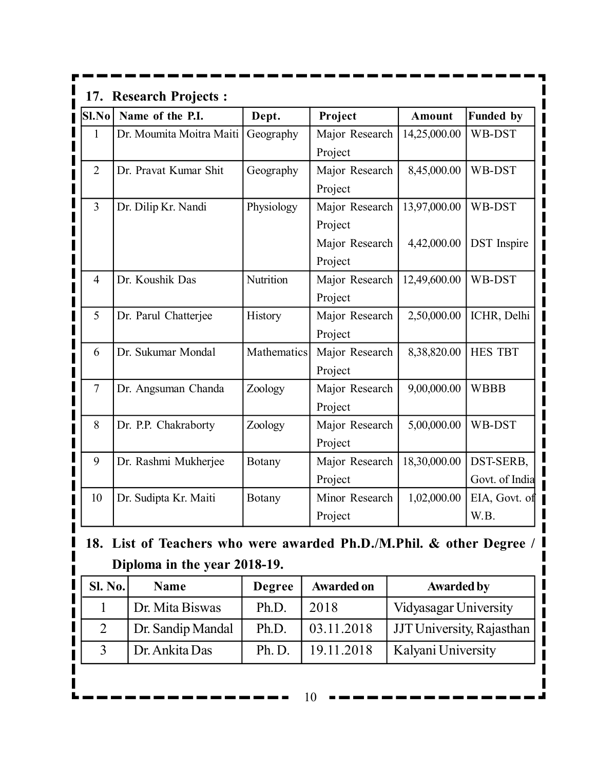|                | 17. Research Projects:   |             |                |               |                    |
|----------------|--------------------------|-------------|----------------|---------------|--------------------|
| Sl.No          | Name of the P.I.         | Dept.       | Project        | <b>Amount</b> | <b>Funded by</b>   |
| 1              | Dr. Moumita Moitra Maiti | Geography   | Major Research | 14,25,000.00  | WB-DST             |
|                |                          |             | Project        |               |                    |
| $\overline{2}$ | Dr. Pravat Kumar Shit    | Geography   | Major Research | 8,45,000.00   | WB-DST             |
|                |                          |             | Project        |               |                    |
| $\overline{3}$ | Dr. Dilip Kr. Nandi      | Physiology  | Major Research | 13,97,000.00  | WB-DST             |
|                |                          |             | Project        |               |                    |
|                |                          |             | Major Research | 4,42,000.00   | <b>DST</b> Inspire |
|                |                          |             | Project        |               |                    |
| $\overline{4}$ | Dr. Koushik Das          | Nutrition   | Major Research | 12,49,600.00  | WB-DST             |
|                |                          |             | Project        |               |                    |
| 5              | Dr. Parul Chatterjee     | History     | Major Research | 2,50,000.00   | ICHR, Delhi        |
|                |                          |             | Project        |               |                    |
| 6              | Dr. Sukumar Mondal       | Mathematics | Major Research | 8,38,820.00   | <b>HES TBT</b>     |
|                |                          |             | Project        |               |                    |
| $\overline{7}$ | Dr. Angsuman Chanda      | Zoology     | Major Research | 9,00,000.00   | <b>WBBB</b>        |
|                |                          |             | Project        |               |                    |
| 8              | Dr. P.P. Chakraborty     | Zoology     | Major Research | 5,00,000.00   | WB-DST             |
|                |                          |             | Project        |               |                    |
| 9              | Dr. Rashmi Mukherjee     | Botany      | Major Research | 18,30,000.00  | DST-SERB,          |
|                |                          |             | Project        |               | Govt. of India     |
| 10             | Dr. Sudipta Kr. Maiti    | Botany      | Minor Research | 1,02,000.00   | EIA, Govt. of      |
|                |                          |             | Project        |               | W.B.               |

## **18. List of Teachers who were awarded Ph.D./M.Phil. & other Degree / Diploma in the year 2018-19.**

| <b>Sl. No.</b> | <b>Name</b>       | <b>Degree</b> | <b>Awarded on</b> | <b>Awarded by</b>         |
|----------------|-------------------|---------------|-------------------|---------------------------|
|                | Dr. Mita Biswas   | Ph.D.         | 2018              | Vidyasagar University     |
|                | Dr. Sandip Mandal | Ph.D.         | 03.11.2018        | JJT University, Rajasthan |
|                | Dr. Ankita Das    | Ph.D.         | 19.11.2018        | Kalyani University        |

10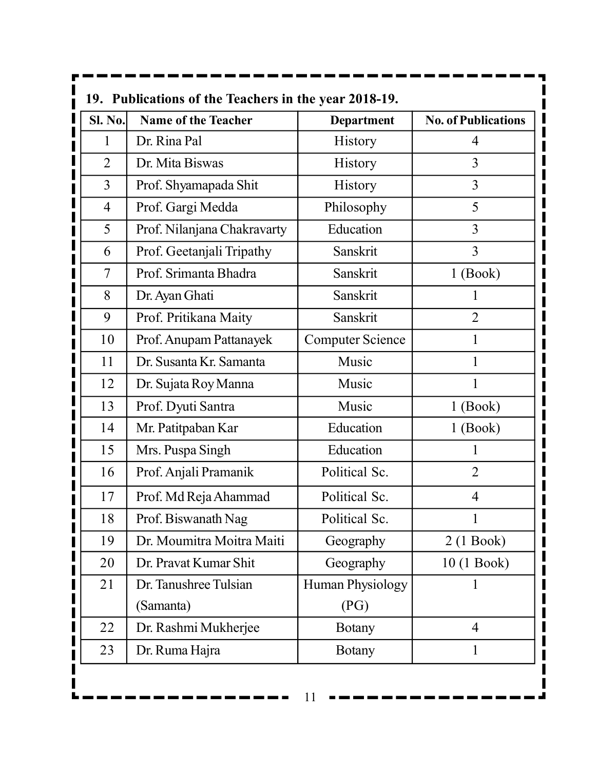| <b>Sl. No.</b> | <b>Name of the Teacher</b>  | <b>Department</b>       | <b>No. of Publications</b> |
|----------------|-----------------------------|-------------------------|----------------------------|
|                | Dr. Rina Pal                | <b>History</b>          | 4                          |
| $\overline{2}$ | Dr. Mita Biswas             | <b>History</b>          | 3                          |
| 3              | Prof. Shyamapada Shit       | <b>History</b>          | 3                          |
| $\overline{4}$ | Prof. Gargi Medda           | Philosophy              | 5                          |
| 5              | Prof. Nilanjana Chakravarty | Education               | 3                          |
| 6              | Prof. Geetanjali Tripathy   | Sanskrit                | 3                          |
| $\tau$         | Prof. Srimanta Bhadra       | Sanskrit                | $1$ (Book)                 |
| 8              | Dr. Ayan Ghati              | Sanskrit                |                            |
| 9              | Prof. Pritikana Maity       | Sanskrit                | $\overline{2}$             |
| 10             | Prof. Anupam Pattanayek     | <b>Computer Science</b> |                            |
| 11             | Dr. Susanta Kr. Samanta     | Music                   |                            |
| 12             | Dr. Sujata Roy Manna        | Music                   | 1                          |
| 13             | Prof. Dyuti Santra          | Music                   | $1$ (Book)                 |
| 14             | Mr. Patitpaban Kar          | Education               | $1$ (Book)                 |
| 15             | Mrs. Puspa Singh            | Education               |                            |
| 16             | Prof. Anjali Pramanik       | Political Sc.           | $\overline{2}$             |
| 17             | Prof. Md Reja Ahammad       | Political Sc.           | $\overline{4}$             |
| 18             | Prof. Biswanath Nag         | Political Sc.           |                            |
| 19             | Dr. Moumitra Moitra Maiti   | Geography               | $2(1$ Book)                |
| 20             | Dr. Pravat Kumar Shit       | Geography               | 10 (1 Book)                |
| 21             | Dr. Tanushree Tulsian       | Human Physiology        | 1                          |
|                | (Samanta)                   | (PG)                    |                            |
| 22             | Dr. Rashmi Mukherjee        | <b>Botany</b>           | $\overline{4}$             |
| 23             | Dr. Ruma Hajra              | <b>Botany</b>           | 1                          |

ă,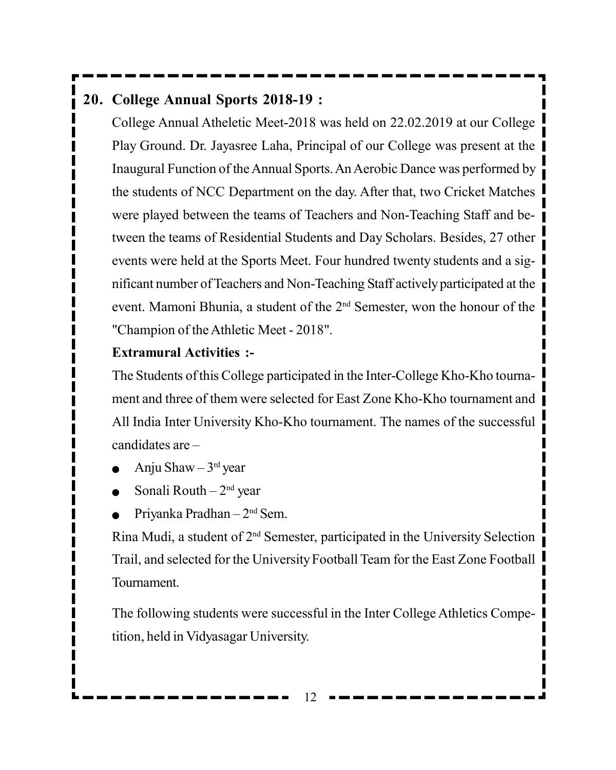#### **20. College Annual Sports 2018-19 :**

College Annual Atheletic Meet-2018 was held on 22.02.2019 at our College Play Ground. Dr. Jayasree Laha, Principal of our College was present at the Inaugural Function of the Annual Sports. An Aerobic Dance was performed by the students of NCC Department on the day. After that, two Cricket Matches were played between the teams of Teachers and Non-Teaching Staff and between the teams of Residential Students and Day Scholars. Besides, 27 other events were held at the Sports Meet. Four hundred twenty students and a significant number of Teachers and Non-Teaching Staff actively participated at the event. Mamoni Bhunia, a student of the 2nd Semester, won the honour of the "Champion of the Athletic Meet - 2018".

#### **Extramural Activities :-**

The Students of this College participated in the Inter-College Kho-Kho tournament and three of them were selected for East Zone Kho-Kho tournament and All India Inter University Kho-Kho tournament. The names of the successful candidates are –

- Anju Shaw  $-3<sup>rd</sup>$  year
- Sonali Routh  $2<sup>nd</sup>$  year
- Priyanka Pradhan 2nd Sem.

Rina Mudi, a student of 2nd Semester, participated in the University Selection Trail, and selected for the University Football Team for the East Zone Football Tournament.

The following students were successful in the Inter College Athletics Competition, held in Vidyasagar University.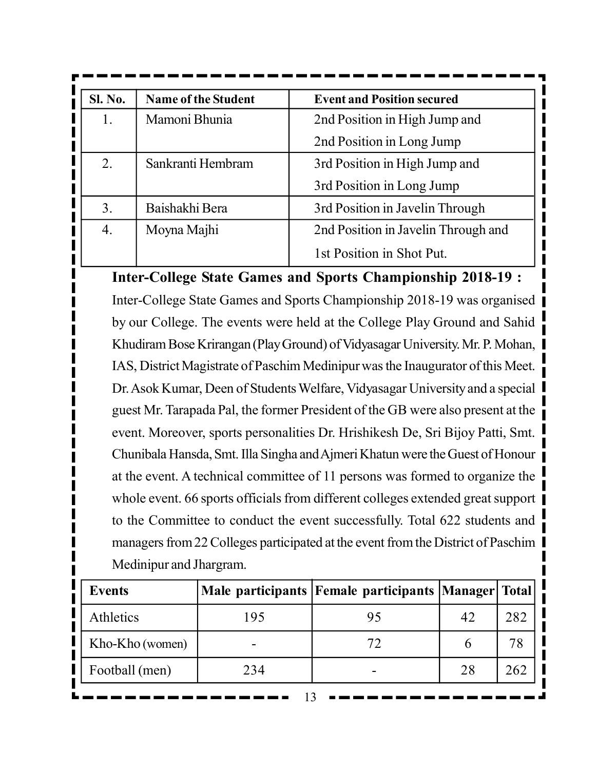| Sl. No. | <b>Name of the Student</b> | <b>Event and Position secured</b>   |
|---------|----------------------------|-------------------------------------|
|         | Mamoni Bhunia              | 2nd Position in High Jump and       |
|         |                            | 2nd Position in Long Jump           |
| 2.      | Sankranti Hembram          | 3rd Position in High Jump and       |
|         |                            | 3rd Position in Long Jump           |
| 3.      | Baishakhi Bera             | 3rd Position in Javelin Through     |
| 4.      | Moyna Majhi                | 2nd Position in Javelin Through and |
|         |                            | 1st Position in Shot Put.           |

**Inter-College State Games and Sports Championship 2018-19 :** Inter-College State Games and Sports Championship 2018-19 was organised by our College. The events were held at the College Play Ground and Sahid Khudiram Bose Krirangan (Play Ground) of Vidyasagar University. Mr. P. Mohan, IAS, District Magistrate of Paschim Medinipur was the Inaugurator of this Meet. Dr. Asok Kumar, Deen of Students Welfare, Vidyasagar University and a special guest Mr. Tarapada Pal, the former President of the GB were also present at the event. Moreover, sports personalities Dr. Hrishikesh De, Sri Bijoy Patti, Smt. Chunibala Hansda, Smt. Illa Singha and Ajmeri Khatun were the Guest of Honour at the event. A technical committee of 11 persons was formed to organize the whole event. 66 sports officials from different colleges extended great support | to the Committee to conduct the event successfully. Total 622 students and managers from 22 Colleges participated at the event from the District of Paschim Medinipur and Jhargram.

| <b>Events</b>   |     | Male participants Female participants Manager Total |    |     |
|-----------------|-----|-----------------------------------------------------|----|-----|
| Athletics       | 195 | 95                                                  | 42 | 282 |
| Kho-Kho (women) |     | 72                                                  |    |     |
| Football (men)  | 234 |                                                     |    | 262 |

13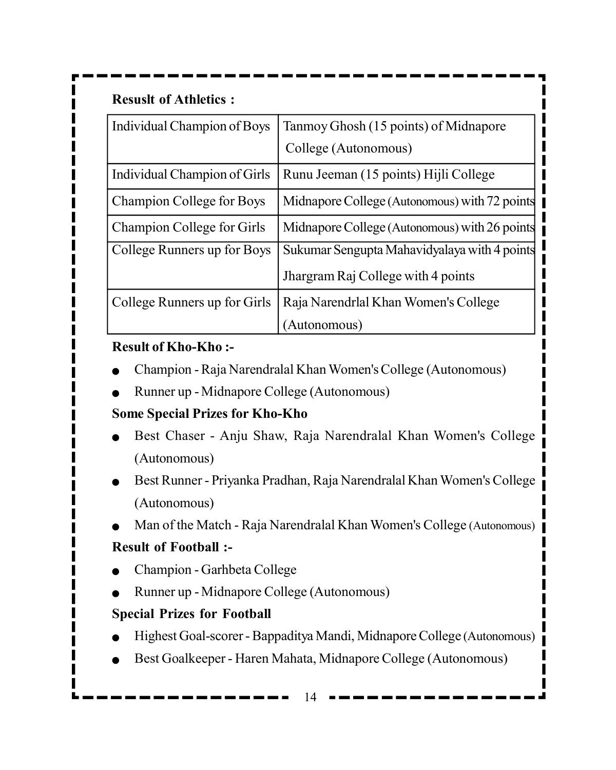#### **Resuslt of Athletics :**

| Individual Champion of Boys       | Tanmoy Ghosh (15 points) of Midnapore         |
|-----------------------------------|-----------------------------------------------|
|                                   | College (Autonomous)                          |
| Individual Champion of Girls      | Runu Jeeman (15 points) Hijli College         |
| <b>Champion College for Boys</b>  | Midnapore College (Autonomous) with 72 points |
| <b>Champion College for Girls</b> | Midnapore College (Autonomous) with 26 points |
| College Runners up for Boys       | Sukumar Sengupta Mahavidyalaya with 4 points  |
|                                   | Jhargram Raj College with 4 points            |
| College Runners up for Girls      | Raja Narendrlal Khan Women's College          |
|                                   | Autonomous)                                   |

#### **Result of Kho-Kho :-**

- Champion Raja Narendralal Khan Women's College (Autonomous)
- Runner up Midnapore College (Autonomous)

#### **Some Special Prizes for Kho-Kho**

- Best Chaser Anju Shaw, Raja Narendralal Khan Women's College (Autonomous)
- Best Runner Priyanka Pradhan, Raja Narendralal Khan Women's College (Autonomous)
- Man of the Match Raja Narendralal Khan Women's College (Autonomous)

#### **Result of Football :-**

- Champion Garhbeta College
- Runner up Midnapore College (Autonomous)

#### **Special Prizes for Football**

- Highest Goal-scorer Bappaditya Mandi, Midnapore College (Autonomous)
- Best Goalkeeper Haren Mahata, Midnapore College (Autonomous)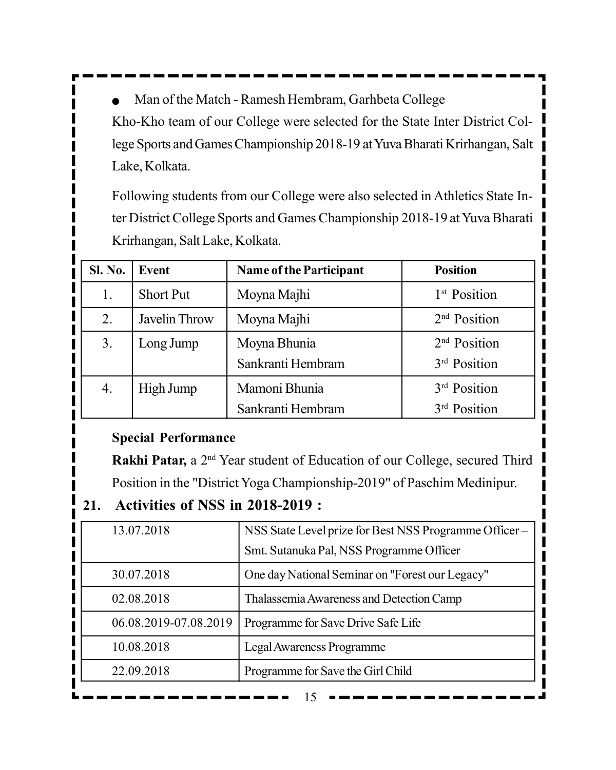Man of the Match - Ramesh Hembram, Garhbeta College Kho-Kho team of our College were selected for the State Inter District College Sports and Games Championship 2018-19 at Yuva Bharati Krirhangan, Salt Lake, Kolkata.

Following students from our College were also selected in Athletics State Inter District College Sports and Games Championship 2018-19 at Yuva Bharati Krirhangan, Salt Lake, Kolkata.

| Sl. No. | Event            | <b>Name of the Participant</b> | <b>Position</b>          |
|---------|------------------|--------------------------------|--------------------------|
| 1.      | <b>Short Put</b> | Moyna Majhi                    | 1 <sup>st</sup> Position |
| 2.      | Javelin Throw    | Moyna Majhi                    | $2nd$ Position           |
| 3.      | Long Jump        | Moyna Bhunia                   | 2 <sup>nd</sup> Position |
|         |                  | Sankranti Hembram              | 3rd Position             |
| 4.      | High Jump        | Mamoni Bhunia                  | 3rd Position             |
|         |                  | Sankranti Hembram              | 3rd Position             |

#### **Special Performance**

**Rakhi Patar,** a 2nd Year student of Education of our College, secured Third Position in the "District Yoga Championship-2019" of Paschim Medinipur.

#### **21. Activities of NSS in 2018-2019 :**

| 13.07.2018            | NSS State Level prize for Best NSS Programme Officer- |
|-----------------------|-------------------------------------------------------|
|                       | Smt. Sutanuka Pal, NSS Programme Officer              |
| 30.07.2018            | One day National Seminar on "Forest our Legacy"       |
| 02.08.2018            | Thalassemia Awareness and Detection Camp              |
| 06.08.2019-07.08.2019 | Programme for Save Drive Safe Life                    |
| 10.08.2018            | Legal Awareness Programme                             |
| 22.09.2018            | Programme for Save the Girl Child                     |

15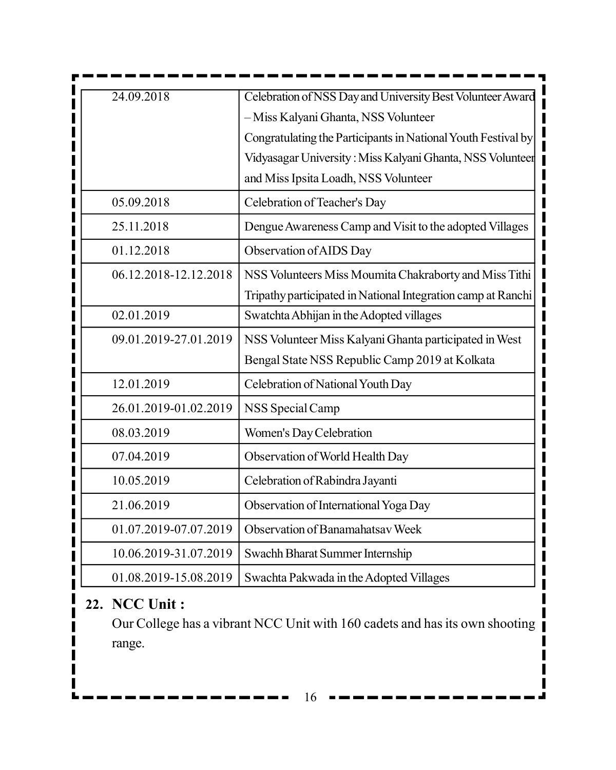| 24.09.2018            | Celebration of NSS Day and University Best Volunteer Award    |
|-----------------------|---------------------------------------------------------------|
|                       | - Miss Kalyani Ghanta, NSS Volunteer                          |
|                       | Congratulating the Participants in National Youth Festival by |
|                       | Vidyasagar University: Miss Kalyani Ghanta, NSS Volunteer     |
|                       | and Miss Ipsita Loadh, NSS Volunteer                          |
| 05.09.2018            | Celebration of Teacher's Day                                  |
| 25.11.2018            | Dengue Awareness Camp and Visit to the adopted Villages       |
| 01.12.2018            | Observation of AIDS Day                                       |
| 06.12.2018-12.12.2018 | NSS Volunteers Miss Moumita Chakraborty and Miss Tithi        |
|                       | Tripathy participated in National Integration camp at Ranchi  |
| 02.01.2019            | Swatchta Abhijan in the Adopted villages                      |
| 09.01.2019-27.01.2019 | NSS Volunteer Miss Kalyani Ghanta participated in West        |
|                       | Bengal State NSS Republic Camp 2019 at Kolkata                |
| 12.01.2019            | Celebration of National Youth Day                             |
| 26.01.2019-01.02.2019 | NSS Special Camp                                              |
| 08.03.2019            | Women's Day Celebration                                       |
| 07.04.2019            | Observation of World Health Day                               |
| 10.05.2019            | Celebration of Rabindra Jayanti                               |
| 21.06.2019            | Observation of International Yoga Day                         |
| 01.07.2019-07.07.2019 | Observation of Banamahatsav Week                              |
| 10.06.2019-31.07.2019 | Swachh Bharat Summer Internship                               |
| 01.08.2019-15.08.2019 | Swachta Pakwada in the Adopted Villages                       |

## **22. NCC Unit :**

 $\mathbf{r}$ 

п

Our College has a vibrant NCC Unit with 160 cadets and has its own shooting range.

ᆜ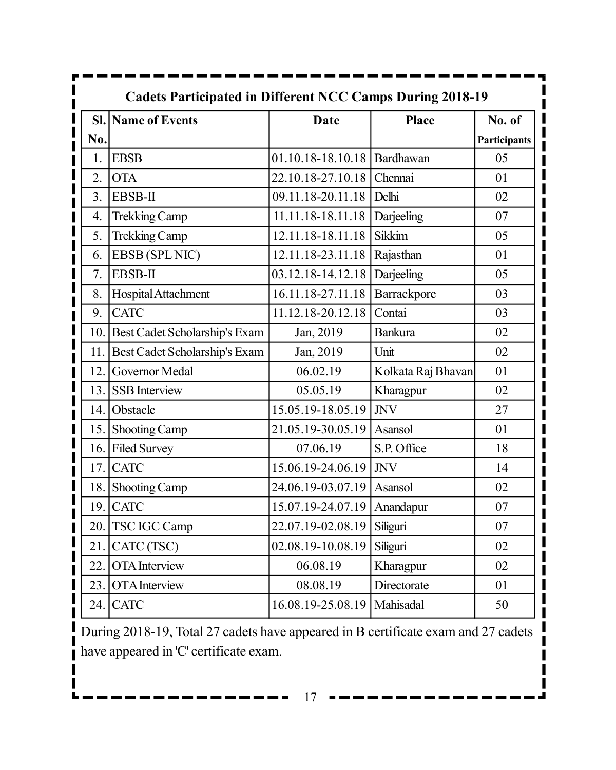|                | <b>Cadets Participated in Different NCC Camps During 2018-19</b> |                               |                    |              |
|----------------|------------------------------------------------------------------|-------------------------------|--------------------|--------------|
| SI.            | Name of Events                                                   | <b>Date</b>                   | <b>Place</b>       | No. of       |
| No.            |                                                                  |                               |                    | Participants |
| 1.             | <b>EBSB</b>                                                      | 01.10.18-18.10.18   Bardhawan |                    | 05           |
| 2.             | <b>OTA</b>                                                       | 22.10.18-27.10.18             | Chennai            | 01           |
| 3 <sub>1</sub> | <b>EBSB-II</b>                                                   | 09.11.18-20.11.18             | Delhi              | 02           |
| 4.             | <b>Trekking Camp</b>                                             | 11.11.18-18.11.18             | Darjeeling         | 07           |
| 5.             | <b>Trekking Camp</b>                                             | 12.11.18-18.11.18             | Sikkim             | 05           |
| 6.             | EBSB (SPL NIC)                                                   | 12.11.18-23.11.18             | Rajasthan          | 01           |
| 7.             | <b>EBSB-II</b>                                                   | 03.12.18-14.12.18             | Darjeeling         | 05           |
| 8.             | Hospital Attachment                                              | 16.11.18-27.11.18             | Barrackpore        | 03           |
| 9.             | <b>CATC</b>                                                      | 11.12.18-20.12.18             | Contai             | 03           |
|                | 10. Best Cadet Scholarship's Exam                                | Jan, 2019                     | <b>Bankura</b>     | 02           |
| 11.            | Best Cadet Scholarship's Exam                                    | Jan, 2019                     | Unit               | 02           |
| 12.            | Governor Medal                                                   | 06.02.19                      | Kolkata Raj Bhavan | 01           |
| 13.            | <b>SSB</b> Interview                                             | 05.05.19                      | Kharagpur          | 02           |
| 14.            | Obstacle                                                         | 15.05.19-18.05.19             | <b>JNV</b>         | 27           |
| 15.            | Shooting Camp                                                    | 21.05.19-30.05.19             | Asansol            | 01           |
| 16.            | <b>Filed Survey</b>                                              | 07.06.19                      | S.P. Office        | 18           |
| 17.            | <b>CATC</b>                                                      | 15.06.19-24.06.19             | <b>JNV</b>         | 14           |
| 18.            | Shooting Camp                                                    | 24.06.19-03.07.19             | Asansol            | 02           |
|                | $19.$ CATC                                                       | 15.07.19-24.07.19             | Anandapur          | 07           |
| 20.            | TSC IGC Camp                                                     | 22.07.19-02.08.19             | Siliguri           | 07           |
| 21.            | CATC(TSC)                                                        | 02.08.19-10.08.19             | Siliguri           | 02           |
| 22.            | OTA Interview                                                    | 06.08.19                      | Kharagpur          | 02           |
| 23.            | OTA Interview                                                    | 08.08.19                      | Directorate        | 01           |
|                | $24$ . CATC                                                      | 16.08.19-25.08.19   Mahisadal |                    | 50           |

During 2018-19, Total 27 cadets have appeared in B certificate exam and 27 cadets have appeared in 'C' certificate exam.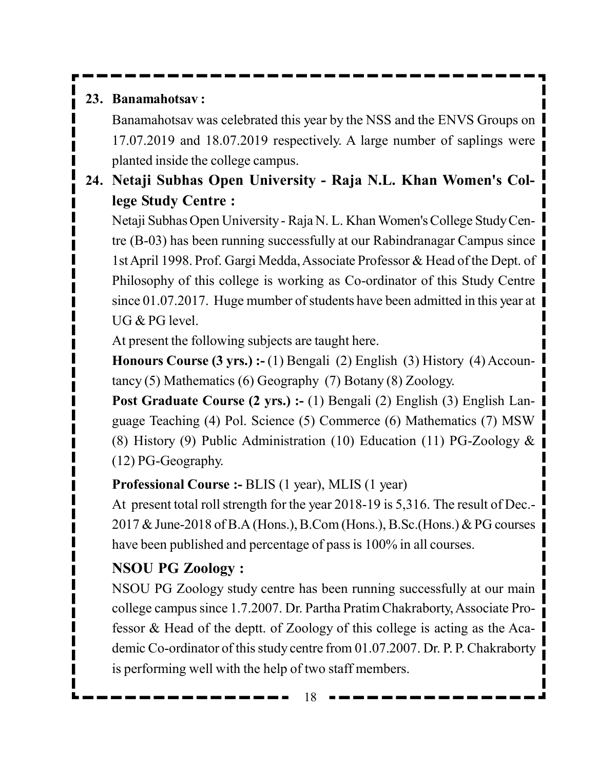### **23. Banamahotsav :**

Banamahotsav was celebrated this year by the NSS and the ENVS Groups on 17.07.2019 and 18.07.2019 respectively. A large number of saplings were planted inside the college campus.

## **24. Netaji Subhas Open University - Raja N.L. Khan Women's College Study Centre :**

Netaji Subhas Open University - Raja N. L. Khan Women's College Study Centre (B-03) has been running successfully at our Rabindranagar Campus since 1st April 1998. Prof. Gargi Medda, Associate Professor & Head of the Dept. of Philosophy of this college is working as Co-ordinator of this Study Centre since 01.07.2017. Huge mumber of students have been admitted in this year at UG & PG level.

At present the following subjects are taught here.

**Honours Course (3 yrs.) :- (1) Bengali (2) English (3) History (4) Accoun**tancy (5) Mathematics (6) Geography (7) Botany (8) Zoology.

**Post Graduate Course (2 yrs.) :-** (1) Bengali (2) English (3) English Language Teaching (4) Pol. Science (5) Commerce (6) Mathematics (7) MSW (8) History (9) Public Administration (10) Education (11) PG-Zoology & (12) PG-Geography.

## **Professional Course :-** BLIS (1 year), MLIS (1 year)

At present total roll strength for the year 2018-19 is 5,316. The result of Dec.- 2017 & June-2018 of B.A (Hons.), B.Com (Hons.), B.Sc.(Hons.) & PG courses have been published and percentage of pass is 100% in all courses.

## **NSOU PG Zoology :**

NSOU PG Zoology study centre has been running successfully at our main college campus since 1.7.2007. Dr. Partha Pratim Chakraborty, Associate Professor & Head of the deptt. of Zoology of this college is acting as the Academic Co-ordinator of this study centre from 01.07.2007. Dr. P. P. Chakraborty is performing well with the help of two staff members.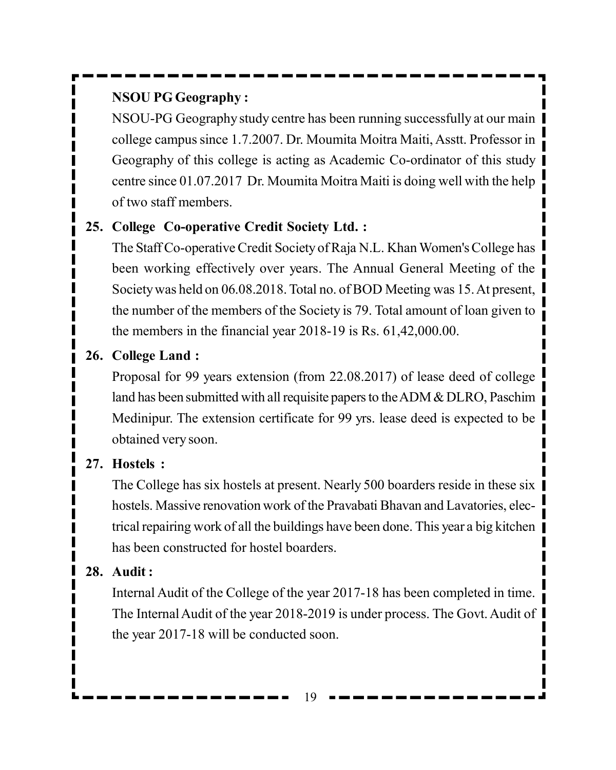## **NSOU PG Geography :**

NSOU-PG Geography study centre has been running successfully at our main college campus since 1.7.2007. Dr. Moumita Moitra Maiti, Asstt. Professor in Geography of this college is acting as Academic Co-ordinator of this study centre since 01.07.2017 Dr. Moumita Moitra Maiti is doing well with the help of two staff members.

## **25. College Co-operative Credit Society Ltd. :**

The Staff Co-operative Credit Society of Raja N.L. Khan Women's College has been working effectively over years. The Annual General Meeting of the Society was held on 06.08.2018. Total no. of BOD Meeting was 15. At present, the number of the members of the Society is 79. Total amount of loan given to the members in the financial year 2018-19 is Rs. 61,42,000.00.

## **26. College Land :**

Proposal for 99 years extension (from 22.08.2017) of lease deed of college land has been submitted with all requisite papers to the ADM & DLRO, Paschim Medinipur. The extension certificate for 99 yrs. lease deed is expected to be obtained very soon.

## **27. Hostels :**

The College has six hostels at present. Nearly 500 boarders reside in these six hostels. Massive renovation work of the Pravabati Bhavan and Lavatories, electrical repairing work of all the buildings have been done. This year a big kitchen has been constructed for hostel boarders.

## **28. Audit :**

Internal Audit of the College of the year 2017-18 has been completed in time. The Internal Audit of the year 2018-2019 is under process. The Govt. Audit of the year 2017-18 will be conducted soon.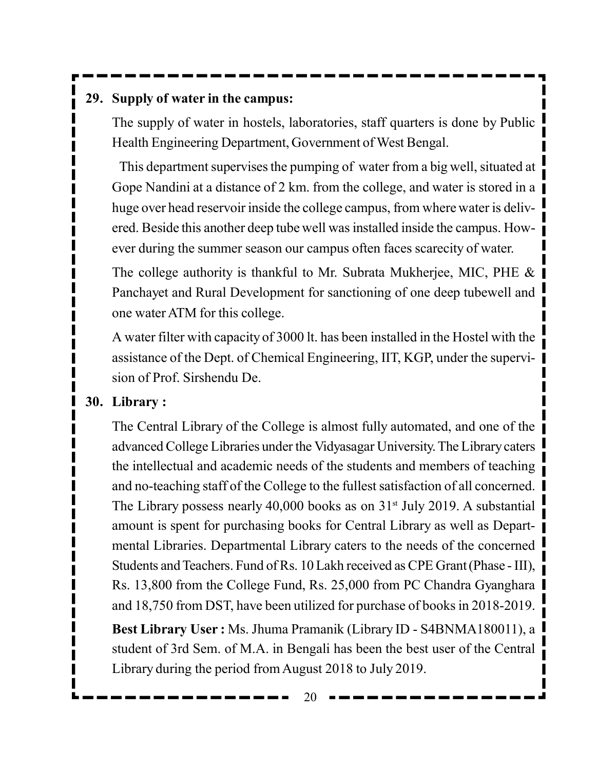#### **29. Supply of water in the campus:**

The supply of water in hostels, laboratories, staff quarters is done by Public Health Engineering Department, Government of West Bengal.

This department supervises the pumping of water from a big well, situated at Gope Nandini at a distance of 2 km. from the college, and water is stored in a huge over head reservoir inside the college campus, from where water is delivered. Beside this another deep tube well was installed inside the campus. However during the summer season our campus often faces scarecity of water.

The college authority is thankful to Mr. Subrata Mukherjee, MIC, PHE & Panchayet and Rural Development for sanctioning of one deep tubewell and one water ATM for this college.

A water filter with capacity of 3000 lt. has been installed in the Hostel with the assistance of the Dept. of Chemical Engineering, IIT, KGP, under the supervision of Prof. Sirshendu De.

#### **30. Library :**

The Central Library of the College is almost fully automated, and one of the advanced College Libraries under the Vidyasagar University. The Library caters the intellectual and academic needs of the students and members of teaching and no-teaching staff of the College to the fullest satisfaction of all concerned. The Library possess nearly 40,000 books as on  $31<sup>st</sup>$  July 2019. A substantial amount is spent for purchasing books for Central Library as well as Departmental Libraries. Departmental Library caters to the needs of the concerned Students and Teachers. Fund of Rs. 10 Lakh received as CPE Grant (Phase - III), Rs. 13,800 from the College Fund, Rs. 25,000 from PC Chandra Gyanghara and 18,750 from DST, have been utilized for purchase of books in 2018-2019.

**Best Library User :** Ms. Jhuma Pramanik (Library ID - S4BNMA180011), a student of 3rd Sem. of M.A. in Bengali has been the best user of the Central Library during the period from August 2018 to July 2019.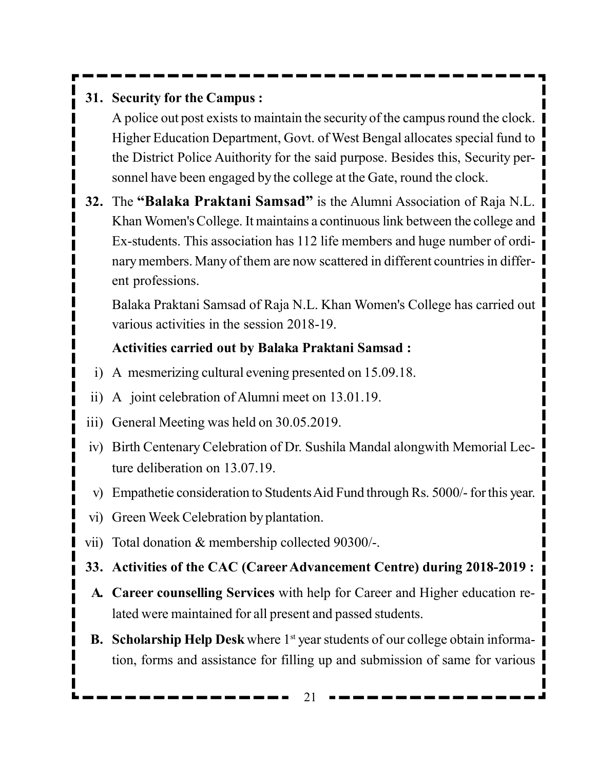## **31. Security for the Campus :**

A police out post exists to maintain the security of the campus round the clock. Higher Education Department, Govt. of West Bengal allocates special fund to the District Police Auithority for the said purpose. Besides this, Security personnel have been engaged by the college at the Gate, round the clock.

**32.** The **"Balaka Praktani Samsad"** is the Alumni Association of Raja N.L. Khan Women's College. It maintains a continuous link between the college and Ex-students. This association has 112 life members and huge number of ordinary members. Many of them are now scattered in different countries in different professions.

Balaka Praktani Samsad of Raja N.L. Khan Women's College has carried out various activities in the session 2018-19.

## **Activities carried out by Balaka Praktani Samsad :**

- i) A mesmerizing cultural evening presented on 15.09.18.
- ii) A joint celebration of Alumni meet on 13.01.19.
- iii) General Meeting was held on 30.05.2019.
- iv) Birth Centenary Celebration of Dr. Sushila Mandal alongwith Memorial Lecture deliberation on 13.07.19.
- v) Empathetie consideration to Students Aid Fund through Rs. 5000/- for this year.
- vi) Green Week Celebration by plantation.
- vii) Total donation & membership collected 90300/-.
- **33. Activities of the CAC (Career Advancement Centre) during 2018-2019 :**
- **A. Career counselling Services** with help for Career and Higher education related were maintained for all present and passed students.
- **B.** Scholarship Help Desk where 1<sup>st</sup> year students of our college obtain information, forms and assistance for filling up and submission of same for various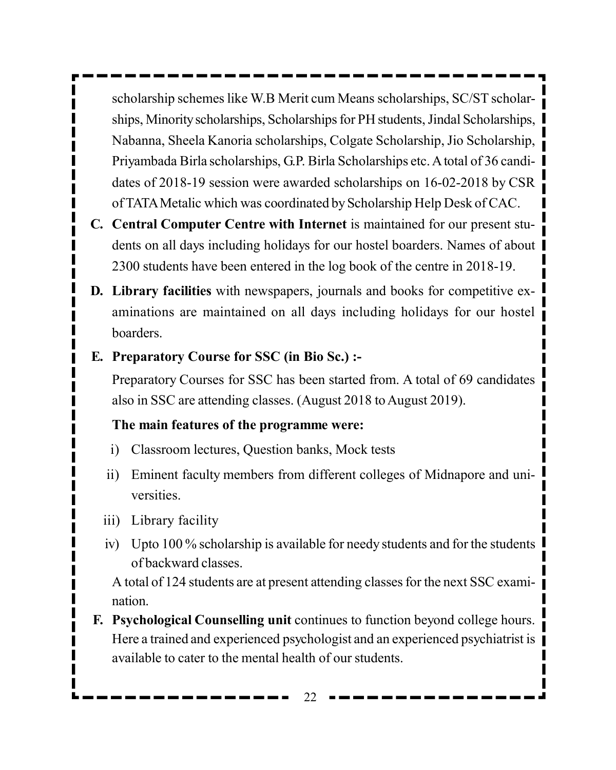scholarship schemes like W.B Merit cum Means scholarships, SC/ST scholarships, Minority scholarships, Scholarships for PH students, Jindal Scholarships, Nabanna, Sheela Kanoria scholarships, Colgate Scholarship, Jio Scholarship, Priyambada Birla scholarships, G.P. Birla Scholarships etc. A total of 36 candidates of 2018-19 session were awarded scholarships on 16-02-2018 by CSR of TATA Metalic which was coordinated by Scholarship Help Desk of CAC.

- **C. Central Computer Centre with Internet** is maintained for our present students on all days including holidays for our hostel boarders. Names of about 2300 students have been entered in the log book of the centre in 2018-19.
- **D. Library facilities** with newspapers, journals and books for competitive examinations are maintained on all days including holidays for our hostel boarders.

#### **E. Preparatory Course for SSC (in Bio Sc.) :-**

Preparatory Courses for SSC has been started from. A total of 69 candidates also in SSC are attending classes. (August 2018 to August 2019).

#### **The main features of the programme were:**

- i) Classroom lectures, Question banks, Mock tests
- ii) Eminent faculty members from different colleges of Midnapore and universities.
- iii) Library facility
- iv) Upto 100 % scholarship is available for needy students and for the students of backward classes.

A total of 124 students are at present attending classes for the next SSC examination.

**F. Psychological Counselling unit** continues to function beyond college hours. Here a trained and experienced psychologist and an experienced psychiatrist is available to cater to the mental health of our students.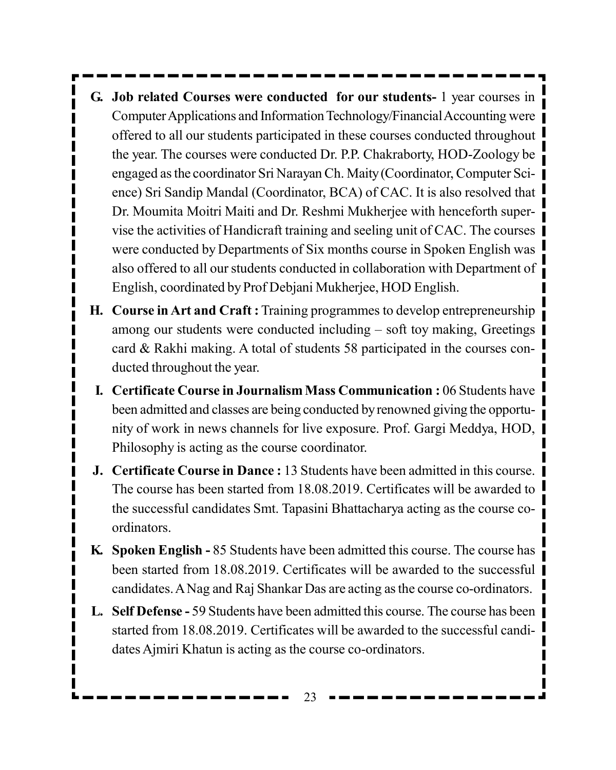- **G. Job related Courses were conducted for our students-** 1 year courses in Computer Applications and Information Technology/Financial Accounting were offered to all our students participated in these courses conducted throughout the year. The courses were conducted Dr. P.P. Chakraborty, HOD-Zoology be engaged as the coordinator Sri Narayan Ch. Maity (Coordinator, Computer Science) Sri Sandip Mandal (Coordinator, BCA) of CAC. It is also resolved that Dr. Moumita Moitri Maiti and Dr. Reshmi Mukherjee with henceforth supervise the activities of Handicraft training and seeling unit of CAC. The courses were conducted by Departments of Six months course in Spoken English was also offered to all our students conducted in collaboration with Department of English, coordinated by Prof Debjani Mukherjee, HOD English.
- **H. Course in Art and Craft :** Training programmes to develop entrepreneurship among our students were conducted including – soft toy making, Greetings card & Rakhi making. A total of students 58 participated in the courses conducted throughout the year.
- **I. Certificate Course in Journalism Mass Communication :** 06 Students have been admitted and classes are being conducted by renowned giving the opportunity of work in news channels for live exposure. Prof. Gargi Meddya, HOD, Philosophy is acting as the course coordinator.
- **J. Certificate Course in Dance :** 13 Students have been admitted in this course. The course has been started from 18.08.2019. Certificates will be awarded to the successful candidates Smt. Tapasini Bhattacharya acting as the course coordinators.
- **K. Spoken English -** 85 Students have been admitted this course. The course has been started from 18.08.2019. Certificates will be awarded to the successful candidates. A Nag and Raj Shankar Das are acting as the course co-ordinators.
- **L. Self Defense** 59 Students have been admitted this course. The course has been started from 18.08.2019. Certificates will be awarded to the successful candidates Ajmiri Khatun is acting as the course co-ordinators.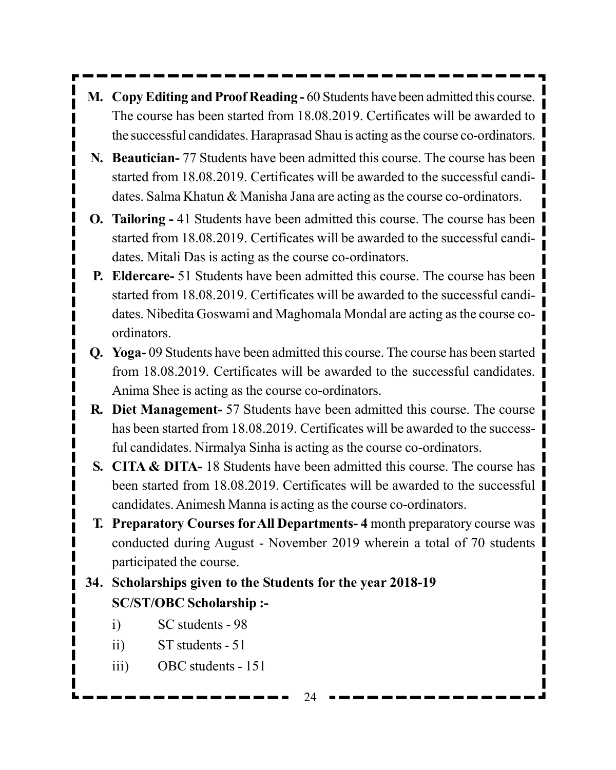- **M. Copy Editing and Proof Reading** 60 Students have been admitted this course. The course has been started from 18.08.2019. Certificates will be awarded to the successful candidates. Haraprasad Shau is acting as the course co-ordinators.
- **N. Beautician-** 77 Students have been admitted this course. The course has been started from 18.08.2019. Certificates will be awarded to the successful candidates. Salma Khatun & Manisha Jana are acting as the course co-ordinators.
- **O. Tailoring** 41 Students have been admitted this course. The course has been started from 18.08.2019. Certificates will be awarded to the successful candidates. Mitali Das is acting as the course co-ordinators.
- **P. Eldercare-** 51 Students have been admitted this course. The course has been started from 18.08.2019. Certificates will be awarded to the successful candidates. Nibedita Goswami and Maghomala Mondal are acting as the course coordinators.
- **Q. Yoga-** 09 Students have been admitted this course. The course has been started from 18.08.2019. Certificates will be awarded to the successful candidates. Anima Shee is acting as the course co-ordinators.
- **R. Diet Management-** 57 Students have been admitted this course. The course has been started from 18.08.2019. Certificates will be awarded to the successful candidates. Nirmalya Sinha is acting as the course co-ordinators.
- **S. CITA & DITA-** 18 Students have been admitted this course. The course has been started from 18.08.2019. Certificates will be awarded to the successful candidates. Animesh Manna is acting as the course co-ordinators.
- **T. Preparatory Courses for All Departments- 4** month preparatory course was conducted during August - November 2019 wherein a total of 70 students participated the course.
- **34. Scholarships given to the Students for the year 2018-19 SC/ST/OBC Scholarship :**
	- i) SC students 98
	- ii) ST students 51
	- iii) OBC students 151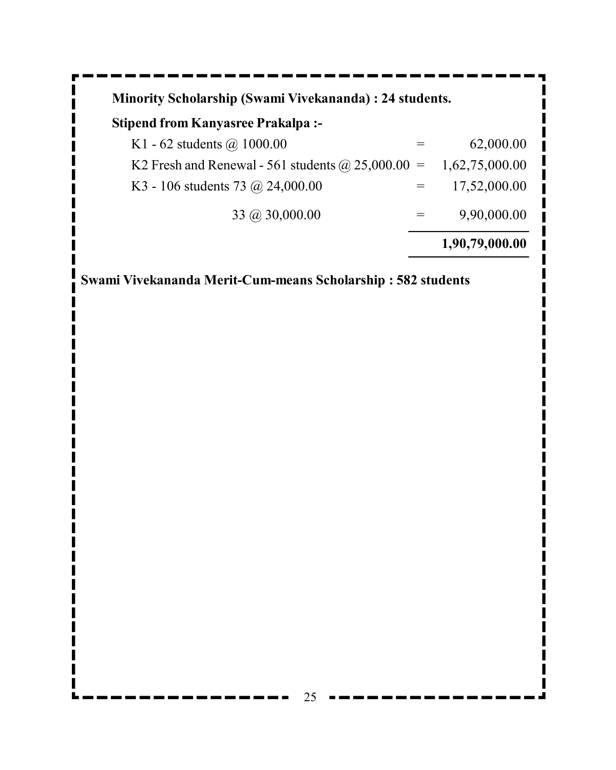| <b>Minority Scholarship (Swami Vivekananda) : 24 students.</b> |                |
|----------------------------------------------------------------|----------------|
| <b>Stipend from Kanyasree Prakalpa:-</b>                       |                |
| K1 - 62 students $\omega$ 1000.00                              | 62,000.00      |
| K2 Fresh and Renewal - 561 students $\omega$ 25,000.00 =       | 1,62,75,000.00 |
| K3 - 106 students 73 @ 24,000.00                               | 17,52,000.00   |
| 33 @ 30,000.00                                                 | 9,90,000.00    |
|                                                                | 1,90,79,000.00 |

**Swami Vivekananda Merit-Cum-means Scholarship : 582 students**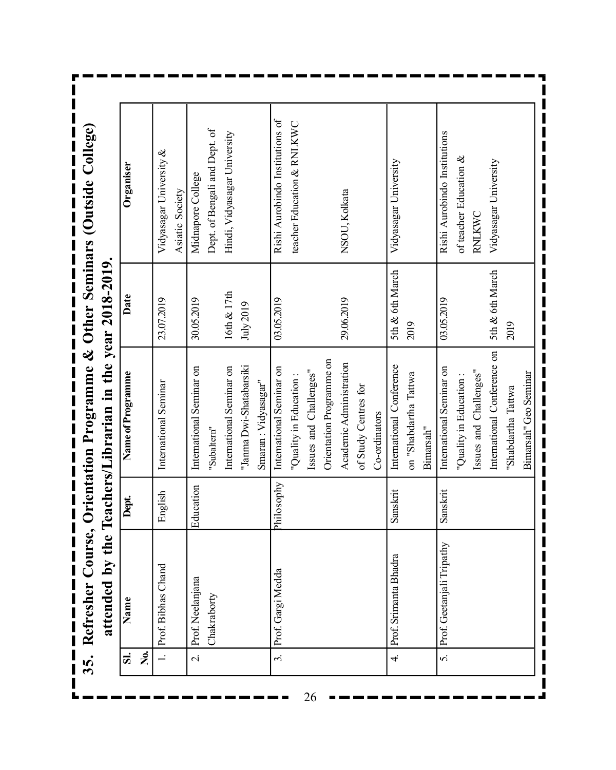35. Refresher Course, Orientation Programme & Other Seminars (Outside College) **35. Refresher Course, Orientation Programme & Other Seminars (Outside College) OFOC OFUC**  $\overline{1}$  $\overline{H}$  ibo  $\mathbf{r}$  $-4h$  $\blacksquare$ 

| $\overline{\mathbf{S}}$ . | Name                      | <b>Dept.</b> | Name of Programme           | Date            | Organiser                                  |
|---------------------------|---------------------------|--------------|-----------------------------|-----------------|--------------------------------------------|
| فع<br>ا                   |                           |              |                             |                 |                                            |
|                           | Prof. Bibhas Chand        | English      | International Seminar       | 23.07.2019      | Vidyasagar University &<br>Asiatic Society |
| $\overline{\mathcal{N}}$  | Prof. Neelanjana          | Education    | International Seminar on    | 30.05.2019      | Midnapore College                          |
|                           | Chakraborty               |              | "Subaltern"                 |                 | Dept. of Bengali and Dept. of              |
|                           |                           |              | International Seminar on    | $16th \& 17th$  | Hindi, Vidyasagar University               |
|                           |                           |              | "Janma Dwi-Shatabarsiki     | July2019        |                                            |
|                           |                           |              | Smaran: Vidyasagar"         |                 |                                            |
| $\ddot{\mathrm{c}}$       | Prof. Gargi Medda         | philosophy   | International Seminar on    | 03.05.2019      | Rishi Aurobindo Institutions of            |
|                           |                           |              | "Quality in Education:      |                 | teacher Education & RNLKWC                 |
|                           |                           |              | Issues and Challenges"      |                 |                                            |
|                           |                           |              | Orientation Programme on    |                 |                                            |
|                           |                           |              | Academic Administration     | 29.06.2019      | NSOU, Kolkata                              |
|                           |                           |              | of Study Centres for        |                 |                                            |
|                           |                           |              | Co-ordinators               |                 |                                            |
| 4.                        | Prof. Srimanta Bhadra     | Sanskrit     | International Conference    | 5th & 6th March | Vidyasagar University                      |
|                           |                           |              | on "Shabdartha Tattwa       | 2019            |                                            |
|                           |                           |              | Bimarsah"                   |                 |                                            |
| S.                        | Prof. Geetanjali Tripathy | Sanskrit     | International Seminar on    | 03.05.2019      | Rishi Aurobindo Institutions               |
|                           |                           |              | "Quality in Education:      |                 | of teacher Education &                     |
|                           |                           |              | Issues and Challenges"      |                 | RNIKWC                                     |
|                           |                           |              | International Conference on | 5th & 6th March | Vidyasagar University                      |
|                           |                           |              | "Shabdartha Tattwa          | 2019            |                                            |
|                           |                           |              | Bimarsah" Geo Seminar       |                 |                                            |

26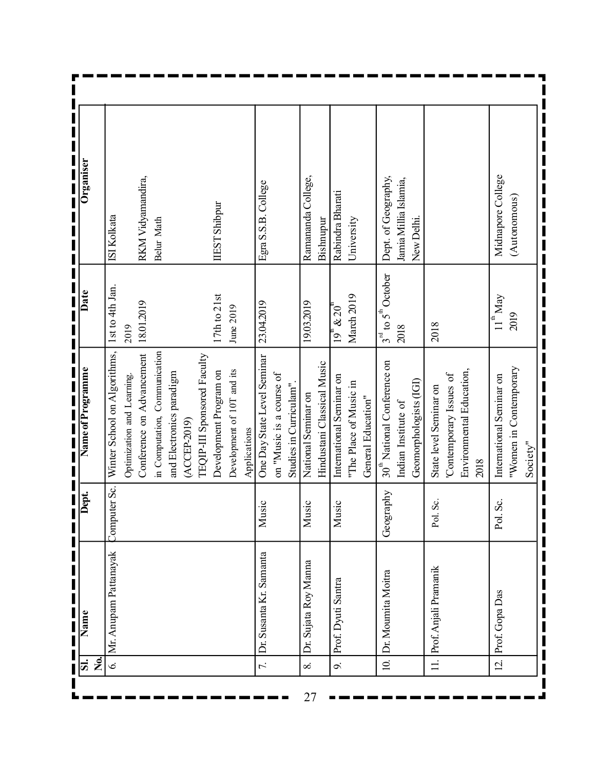| I<br>$\begin{bmatrix} 1 \\ 1 \\ 1 \end{bmatrix}$<br>Organiser<br>I | ISI Kolkata                  |                            | RKM Vidyamandira,         | Belur Math                    |                          |              |                             | <b>IEST Shibpur</b>    |                            |              | Egra S.S.B. College         |                          |                         | Ramananda College,   | Bishnupur                  | Rabindra Bharati                      | University            |                    | Dept. of Geography,                     | Jamia Millia Islamia, | New Delhi              |                        |                        |                          |      | Midnapore College        | (Autonomous)           |          |
|--------------------------------------------------------------------|------------------------------|----------------------------|---------------------------|-------------------------------|--------------------------|--------------|-----------------------------|------------------------|----------------------------|--------------|-----------------------------|--------------------------|-------------------------|----------------------|----------------------------|---------------------------------------|-----------------------|--------------------|-----------------------------------------|-----------------------|------------------------|------------------------|------------------------|--------------------------|------|--------------------------|------------------------|----------|
| <br> <br> <br> <br>Date                                            | 1st to 4th Jan.              | 2019                       | 18.01.2019                |                               |                          |              |                             | 17th to 21st           | June 2019                  |              | 23.04.2019                  |                          |                         | 19.03.2019           |                            | $19^{\mathrm{m}}$ & $20^{\mathrm{m}}$ | March 2019            |                    | $3rd$ to $5th$ October                  | 2018                  |                        | 2018                   |                        |                          |      | $11^{th}$ May            | 2019                   |          |
| <br> <br> <br> <br>Name of Programme<br>$\blacksquare$             | Winter School on Algorithms, | Optimization and Learning. | Conference on Advancement | in Computation, Communication | and Electronics paradigm | (ACCEP-2019) | TEQIP-III Sponsored Faculty | Development Program on | Development of 10T and its | Applications | One Day State Level Seminar | on "Music is a course of | Studies in Curriculam". | National Seminar on  | Hindustani Classical Music | International Seminar on              | The Place of Music in | General Education" | 30 <sup>th</sup> National Conference on | Indian Institute of   | Geomorphologists (IGI) | State level Seminar on | Contemporary Issues of | Environmental Education, | 2018 | International Seminar on | "Women in Contemporary | Society' |
| <br> <br> <br>Dept.                                                | Computer Sc.                 |                            |                           |                               |                          |              |                             |                        |                            |              | Music                       |                          |                         | Music                |                            | Music                                 |                       |                    | Geography                               |                       |                        | Pol. Sc.               |                        |                          |      | Pol. Sc.                 |                        |          |
| $\blacksquare$<br>$\frac{1}{1}$<br>Name                            | Mr. Anupam Pattanayak        |                            |                           |                               |                          |              |                             |                        |                            |              | Dr. Susanta Kr. Samanta     |                          |                         | Dr. Sujata Roy Manna |                            | Prof. Dyuti Santra                    |                       |                    | Dr. Moumita Moitra                      |                       |                        | Prof. Anjali Pramanik  |                        |                          |      | Prof. Gopa Das           |                        |          |
| Ź<br>ळ                                                             | $\circ$                      |                            |                           |                               |                          |              |                             |                        |                            |              | $\tilde{L}$                 |                          |                         | $\infty$             |                            | o.                                    |                       |                    | $\overline{a}$                          |                       |                        | 11                     |                        |                          |      | $\overline{a}$           |                        |          |
|                                                                    |                              |                            |                           |                               |                          |              |                             |                        |                            |              |                             |                          |                         | 27                   |                            |                                       |                       |                    |                                         |                       |                        |                        |                        |                          |      |                          |                        |          |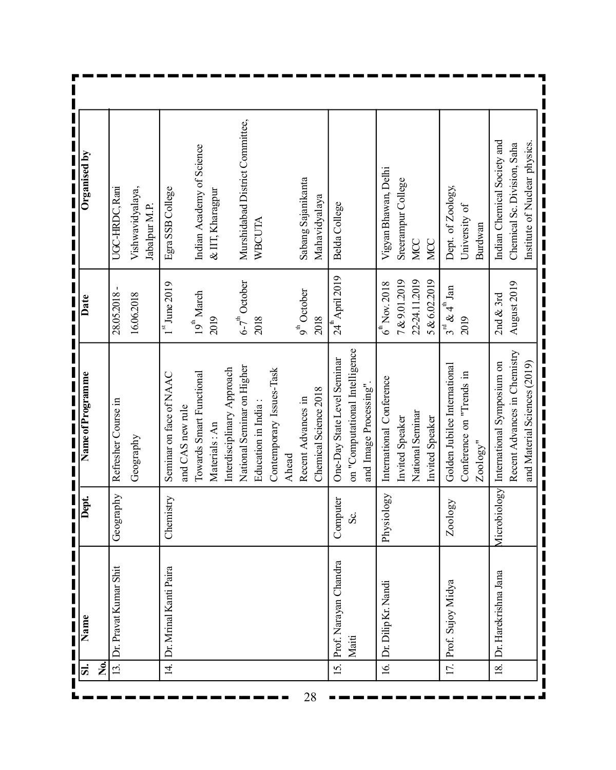| ف<br>Z<br>ವ       | Name                   | Dept.      | Name of Programme                                        | Date                                  | Organised by                      |
|-------------------|------------------------|------------|----------------------------------------------------------|---------------------------------------|-----------------------------------|
| $\overline{13}$ . | Dr. Pravat Kumar Shit  | Geography  | Refresher Course in                                      | 28.05.2018                            | UGC-HRDC, Rani                    |
|                   |                        |            | Geography                                                | 16.06.2018                            | Vishwavidyalaya,<br>Jabalpur M.P. |
| 4.                | Dr. Mrinal Kanti Paira | Chemistry  | Seminar on face of NAAC<br>and CAS new rule              | $1^{\mathrm{st}}$ June 2019           | Egra SSB College                  |
|                   |                        |            | Towards Smart Functional                                 | $19^{\text{th}}$ March                | Indian Academy of Science         |
|                   |                        |            | Materials: An                                            | 2019                                  | $\&$ IIT, Kharagpur               |
|                   |                        |            | National Seminar on Higher<br>Interdisciplinary Approach | $6-7$ <sup>th</sup> October           | Murshidabad District Committee,   |
|                   |                        |            | Education in India:                                      | 2018                                  | WBCUTA                            |
|                   |                        |            | Contemporary Issues-Task                                 |                                       |                                   |
|                   |                        |            | Ahead                                                    |                                       |                                   |
|                   |                        |            | Recent Advances in                                       | $9^{\text{th}}$ October               | Sabang Sajanikanta                |
|                   |                        |            | Chemical Science 2018                                    | 2018                                  | Mahavidyalaya                     |
| 15.               | Prof. Narayan Chandra  | Computer   | One-Day State Level Seminar                              | 24 <sup>th</sup> April 2019           | Belda College                     |
|                   | Maiti                  | S.         | on "Computational Intelligence                           |                                       |                                   |
|                   |                        |            | and Image Processing"                                    |                                       |                                   |
| <u>َما</u>        | Dr. Dilip Kr. Nandi    | Physiology | International Conference                                 | $6^{\text{th}}$ Nov. 2018             | Vigyan Bhawan, Delhi              |
|                   |                        |            | Invited Speaker                                          | 7&9.01.2019                           | Sreerampur College                |
|                   |                        |            | National Seminar                                         | 22-24.11.2019                         | MCC                               |
|                   |                        |            | Invited Speaker                                          | 5 & 6.02.2019                         | MCC                               |
| 17.               | Prof. Sujoy Midya      | Zoology    | Golden Jubilee International                             | $3^{\text{rd}}$ & $4^{\text{th}}$ Jan | Dept. of Zoology,                 |
|                   |                        |            | Conference on "Trends in                                 | 2019                                  | University of                     |
|                   |                        |            | $\mathsf{Zoology}^{\mathsf{n}}$                          |                                       | Burdwan                           |
| <u>i8</u>         | Dr. Harekrishna Jana   |            | Microbiology International Symposium on                  | $2nd &$ 3rd                           | Indian Chemical Society and       |
|                   |                        |            | Recent Advances in Chemistry                             | August 2019                           | Chemical Sc. Division, Saha       |
|                   |                        |            | and Material Sciences (2019)                             |                                       | Institute of Nuclear physics.     |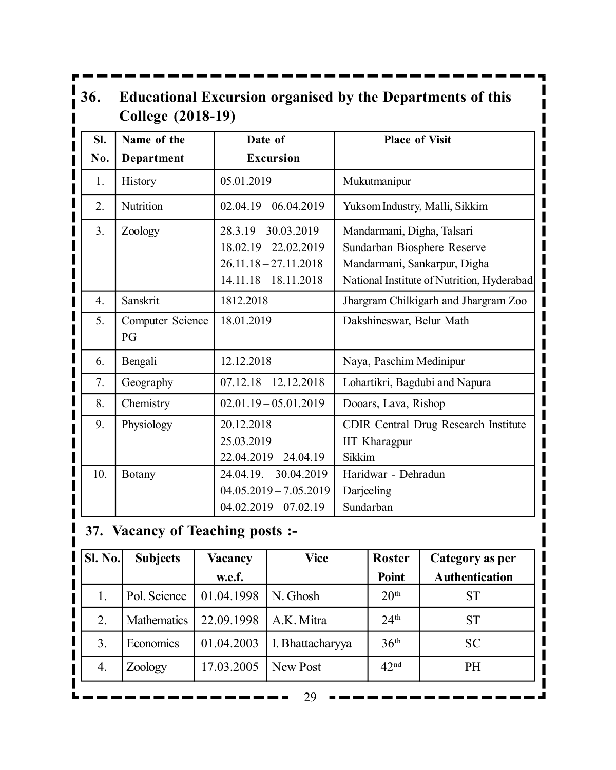| 36.              | <b>College</b> (2018-19)  |                                                                                                         | <b>Educational Excursion organised by the Departments of this</b>                                                                       |
|------------------|---------------------------|---------------------------------------------------------------------------------------------------------|-----------------------------------------------------------------------------------------------------------------------------------------|
| SI.<br>No.       | Name of the<br>Department | Date of<br><b>Excursion</b>                                                                             | <b>Place of Visit</b>                                                                                                                   |
| 1.               | History                   | 05.01.2019                                                                                              | Mukutmanipur                                                                                                                            |
| 2.               | Nutrition                 | $02.04.19 - 06.04.2019$                                                                                 | Yuksom Industry, Malli, Sikkim                                                                                                          |
| 3 <sub>1</sub>   | Zoology                   | $28.3.19 - 30.03.2019$<br>$18.02.19 - 22.02.2019$<br>$26.11.18 - 27.11.2018$<br>$14.11.18 - 18.11.2018$ | Mandarmani, Digha, Talsari<br>Sundarban Biosphere Reserve<br>Mandarmani, Sankarpur, Digha<br>National Institute of Nutrition, Hyderabad |
| $\overline{4}$ . | Sanskrit                  | 1812.2018                                                                                               | Jhargram Chilkigarh and Jhargram Zoo                                                                                                    |
| 5.               | Computer Science<br>PG    | 18.01.2019                                                                                              | Dakshineswar, Belur Math                                                                                                                |
| 6.               | Bengali                   | 12.12.2018                                                                                              | Naya, Paschim Medinipur                                                                                                                 |
| 7.               | Geography                 | $07.12.18 - 12.12.2018$                                                                                 | Lohartikri, Bagdubi and Napura                                                                                                          |
| 8.               | Chemistry                 | $02.01.19 - 05.01.2019$                                                                                 | Dooars, Lava, Rishop                                                                                                                    |
| 9.               | Physiology                | 20.12.2018<br>25.03.2019<br>$22.04.2019 - 24.04.19$                                                     | <b>CDIR Central Drug Research Institute</b><br><b>IIT Kharagpur</b><br>Sikkim                                                           |
| 10.              | Botany                    | $24.04.19 - 30.04.2019$<br>$04.05.2019 - 7.05.2019$<br>$04.02.2019 - 07.02.19$                          | Haridwar - Dehradun<br>Darjeeling<br>Sundarban                                                                                          |

## **37. Vacancy of Teaching posts :-**

| <b>Sl. No.</b> | <b>Subjects</b>    | Vacancy    | <b>Vice</b>      | <b>Roster</b>    | Category as per       |
|----------------|--------------------|------------|------------------|------------------|-----------------------|
|                |                    | w.e.f.     |                  | Point            | <b>Authentication</b> |
|                | Pol. Science       | 01.04.1998 | N. Ghosh         | 20 <sup>th</sup> | ST                    |
| 2.             | <b>Mathematics</b> | 22.09.1998 | A.K. Mitra       | 24 <sup>th</sup> | <b>ST</b>             |
| 3.             | Economics          | 01.04.2003 | I. Bhattacharyya | 36 <sup>th</sup> | <b>SC</b>             |
| 4.             | Zoology            | 17.03.2005 | New Post         | 42 <sup>nd</sup> | <b>PH</b>             |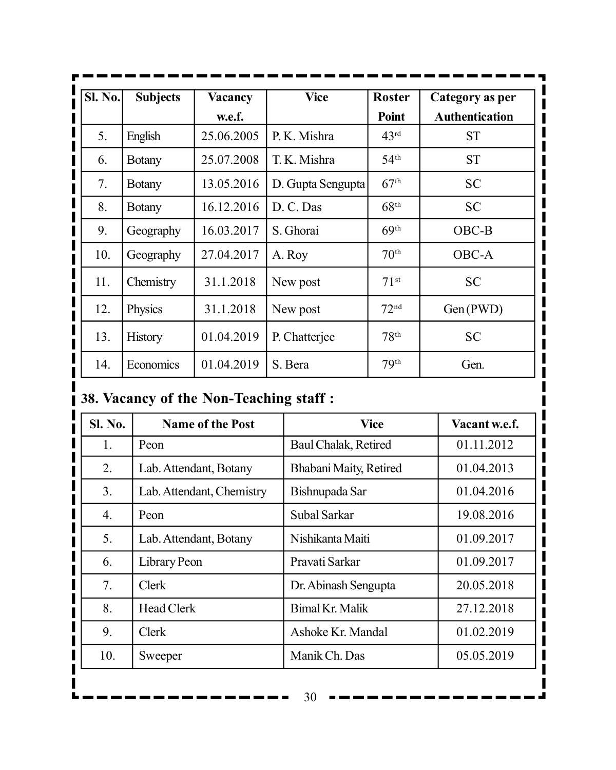| <b>Sl. No.</b> | <b>Subjects</b> | Vacancy    | <b>Vice</b>       | <b>Roster</b>    | Category as per       |
|----------------|-----------------|------------|-------------------|------------------|-----------------------|
|                |                 | w.e.f.     |                   | Point            | <b>Authentication</b> |
| 5.             | English         | 25.06.2005 | P. K. Mishra      | 43 <sup>rd</sup> | <b>ST</b>             |
| 6.             | <b>Botany</b>   | 25.07.2008 | T. K. Mishra      | 54 <sup>th</sup> | <b>ST</b>             |
| 7.             | <b>Botany</b>   | 13.05.2016 | D. Gupta Sengupta | 67 <sup>th</sup> | <b>SC</b>             |
| 8.             | <b>Botany</b>   | 16.12.2016 | D. C. Das         | 68 <sup>th</sup> | <b>SC</b>             |
| 9.             | Geography       | 16.03.2017 | S. Ghorai         | 69 <sup>th</sup> | OBC-B                 |
| 10.            | Geography       | 27.04.2017 | A. Roy            | 70 <sup>th</sup> | <b>OBC-A</b>          |
| 11.            | Chemistry       | 31.1.2018  | New post          | 71 <sup>st</sup> | <b>SC</b>             |
| 12.            | Physics         | 31.1.2018  | New post          | 72 <sup>nd</sup> | Gen (PWD)             |
| 13.            | <b>History</b>  | 01.04.2019 | P. Chatterjee     | 78 <sup>th</sup> | <b>SC</b>             |
| 14.            | Economics       | 01.04.2019 | S. Bera           | 79 <sup>th</sup> | Gen.                  |

## **38. Vacancy of the Non-Teaching staff :**

| Sl. No.          | <b>Name of the Post</b>   | <b>Vice</b>            | Vacant w.e.f. |
|------------------|---------------------------|------------------------|---------------|
| 1.               | Peon                      | Baul Chalak, Retired   | 01.11.2012    |
| 2.               | Lab. Attendant, Botany    | Bhabani Maity, Retired | 01.04.2013    |
| 3.               | Lab. Attendant, Chemistry | Bishnupada Sar         | 01.04.2016    |
| $\overline{4}$ . | Peon                      | Subal Sarkar           | 19.08.2016    |
| 5.               | Lab. Attendant, Botany    | Nishikanta Maiti       | 01.09.2017    |
| 6.               | Library Peon              | Pravati Sarkar         | 01.09.2017    |
| 7 <sub>1</sub>   | <b>Clerk</b>              | Dr. Abinash Sengupta   | 20.05.2018    |
| 8.               | <b>Head Clerk</b>         | Bimal Kr. Malik        | 27.12.2018    |
| 9.               | <b>Clerk</b>              | Ashoke Kr. Mandal      | 01.02.2019    |
| 10.              | Sweeper                   | Manik Ch. Das          | 05.05.2019    |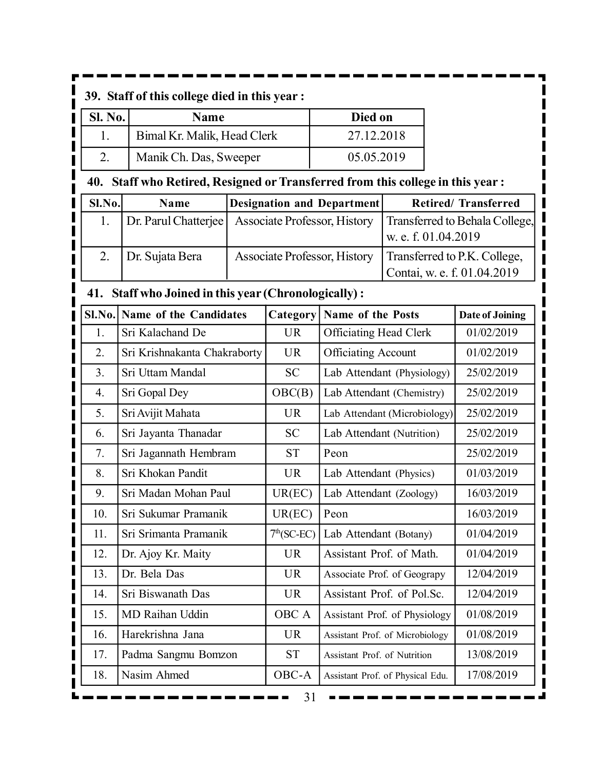## **39. Staff of this college died in this year :**

| <b>Sl. No.</b> | <b>Name</b>                 | Died on    |
|----------------|-----------------------------|------------|
|                | Bimal Kr. Malik, Head Clerk | 27.12.2018 |
|                | Manik Ch. Das, Sweeper      | 05.05.2019 |

#### **40. Staff who Retired, Resigned or Transferred from this college in this year :**

| $S1$ . $N0$ . | Name                 | Designation and Department          | <b>Retired/Transferred</b>                                  |
|---------------|----------------------|-------------------------------------|-------------------------------------------------------------|
|               | Dr. Parul Chatterjee | <b>Associate Professor, History</b> | Transferred to Behala College,<br>w. e. f. 01.04.2019       |
|               | Dr. Sujata Bera      | Associate Professor, History        | Transferred to P.K. College,<br>Contai, w. e. f. 01.04.2019 |

#### **41. Staff who Joined in this year (Chronologically) :**

| Sl.No.           | Name of the Candidates       | Category     | <b>Name of the Posts</b>         | Date of Joining |
|------------------|------------------------------|--------------|----------------------------------|-----------------|
| 1.               | Sri Kalachand De             | <b>UR</b>    | <b>Officiating Head Clerk</b>    | 01/02/2019      |
| 2.               | Sri Krishnakanta Chakraborty | <b>UR</b>    | <b>Officiating Account</b>       | 01/02/2019      |
| 3.               | Sri Uttam Mandal             | <b>SC</b>    | Lab Attendant (Physiology)       | 25/02/2019      |
| $\overline{4}$ . | Sri Gopal Dey                | OBC(B)       | Lab Attendant (Chemistry)        | 25/02/2019      |
| 5.               | Sri Avijit Mahata            | <b>UR</b>    | Lab Attendant (Microbiology)     | 25/02/2019      |
| 6.               | Sri Jayanta Thanadar         | <b>SC</b>    | Lab Attendant (Nutrition)        | 25/02/2019      |
| 7.               | Sri Jagannath Hembram        | <b>ST</b>    | Peon                             | 25/02/2019      |
| 8.               | Sri Khokan Pandit            | <b>UR</b>    | Lab Attendant (Physics)          | 01/03/2019      |
| 9.               | Sri Madan Mohan Paul         | UR(EC)       | Lab Attendant (Zoology)          | 16/03/2019      |
| 10.              | Sri Sukumar Pramanik         | UR(EC)       | Peon                             | 16/03/2019      |
| 11.              | Sri Srimanta Pramanik        | $7th(SC-EC)$ | Lab Attendant (Botany)           | 01/04/2019      |
| 12.              | Dr. Ajoy Kr. Maity           | <b>UR</b>    | Assistant Prof. of Math.         | 01/04/2019      |
| 13.              | Dr. Bela Das                 | <b>UR</b>    | Associate Prof. of Geograpy      | 12/04/2019      |
| 14.              | Sri Biswanath Das            | <b>UR</b>    | Assistant Prof. of Pol.Sc.       | 12/04/2019      |
| 15.              | MD Raihan Uddin              | OBC A        | Assistant Prof. of Physiology    | 01/08/2019      |
| 16.              | Harekrishna Jana             | <b>UR</b>    | Assistant Prof. of Microbiology  | 01/08/2019      |
| 17.              | Padma Sangmu Bomzon          | <b>ST</b>    | Assistant Prof. of Nutrition     | 13/08/2019      |
| 18.              | Nasim Ahmed                  | OBC-A        | Assistant Prof. of Physical Edu. | 17/08/2019      |

31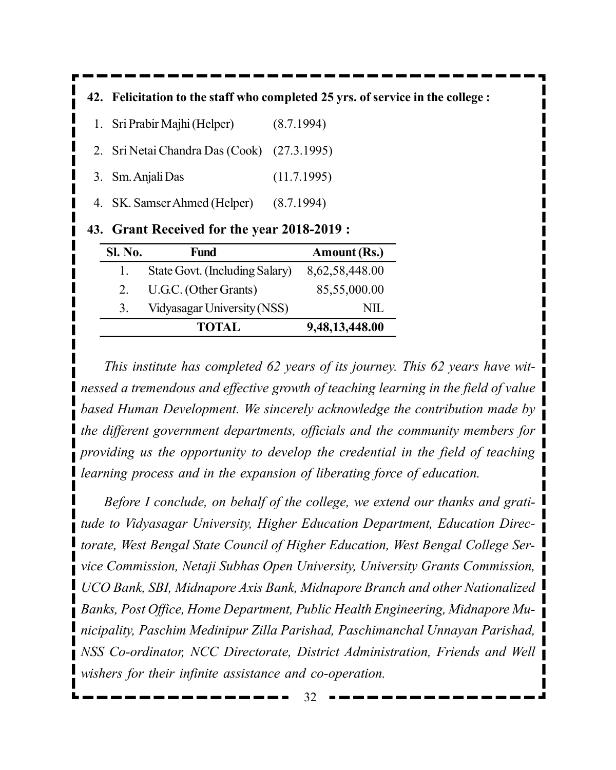|    |                | 42. Felicitation to the staff who completed 25 yrs. of service in the college : |            |                |  |
|----|----------------|---------------------------------------------------------------------------------|------------|----------------|--|
| 1. |                | Sri Prabir Majhi (Helper)                                                       | (8.7.1994) |                |  |
| 2. |                | Sri Netai Chandra Das (Cook) (27.3.1995)                                        |            |                |  |
|    |                | 3. Sm. Anjali Das                                                               |            | (11.7.1995)    |  |
|    |                | 4. SK. Samser Ahmed (Helper)                                                    | (8.7.1994) |                |  |
|    |                | 43. Grant Received for the year 2018-2019 :                                     |            |                |  |
|    | <b>Sl. No.</b> | Fund                                                                            |            | Amount (Rs.)   |  |
|    | 1.             | State Govt. (Including Salary)                                                  |            | 8,62,58,448.00 |  |

2. U.G.C. (Other Grants) 85,55,000.00 3. Vidyasagar University (NSS) NIL

*This institute has completed 62 years of its journey. This 62 years have witnessed a tremendous and effective growth of teaching learning in the field of value based Human Development. We sincerely acknowledge the contribution made by the different government departments, officials and the community members for providing us the opportunity to develop the credential in the field of teaching learning process and in the expansion of liberating force of education.*

**TOTAL 9,48,13,448.00**

*Before I conclude, on behalf of the college, we extend our thanks and gratitude to Vidyasagar University, Higher Education Department, Education Directorate, West Bengal State Council of Higher Education, West Bengal College Service Commission, Netaji Subhas Open University, University Grants Commission, UCO Bank, SBI, Midnapore Axis Bank, Midnapore Branch and other Nationalized Banks, Post Office, Home Department, Public Health Engineering, Midnapore Municipality, Paschim Medinipur Zilla Parishad, Paschimanchal Unnayan Parishad, NSS Co-ordinator, NCC Directorate, District Administration, Friends and Well wishers for their infinite assistance and co-operation.*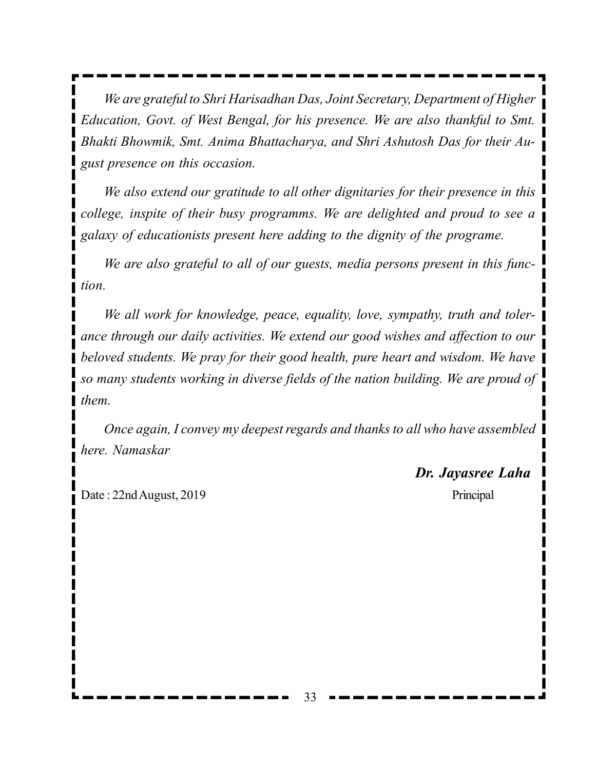*We are grateful to Shri Harisadhan Das, Joint Secretary, Department of Higher Education, Govt. of West Bengal, for his presence. We are also thankful to Smt. Bhakti Bhowmik, Smt. Anima Bhattacharya, and Shri Ashutosh Das for their August presence on this occasion.*

*We also extend our gratitude to all other dignitaries for their presence in this college, inspite of their busy programms. We are delighted and proud to see a galaxy of educationists present here adding to the dignity of the programe.*

*We are also grateful to all of our guests, media persons present in this function.*

*We all work for knowledge, peace, equality, love, sympathy, truth and tolerance through our daily activities. We extend our good wishes and affection to our beloved students. We pray for their good health, pure heart and wisdom. We have so many students working in diverse fields of the nation building. We are proud of them.*

*Once again, I convey my deepest regards and thanks to all who have assembled here. Namaskar*

*Dr. Jayasree Laha*

Date : 22nd August, 2019 Principal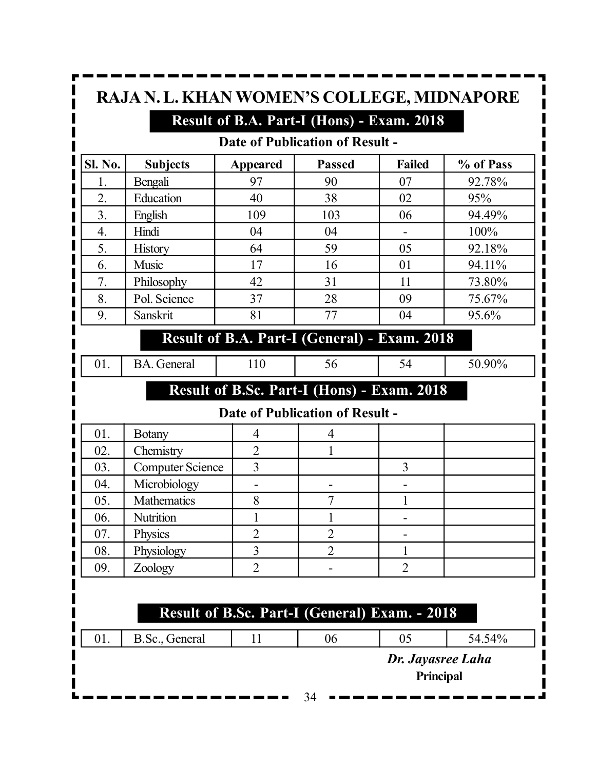## **RAJA N. L. KHAN WOMEN'S COLLEGE, MIDNAPORE**

## **Result of B.A. Part-I (Hons) - Exam. 2018**

#### **Date of Publication of Result -**

| <b>Sl. No.</b> | <b>Subjects</b> | <b>Appeared</b> | <b>Passed</b> | <b>Failed</b> | % of Pass |
|----------------|-----------------|-----------------|---------------|---------------|-----------|
|                | Bengali         | 97              | 90            | 07            | 92.78%    |
| 2.             | Education       | 40              | 38            | 02            | 95%       |
| 3.             | English         | 109             | 103           | 06            | 94.49%    |
| 4.             | Hindi           | 04              | 04            |               | 100%      |
| 5.             | <b>History</b>  | 64              | 59            | 05            | 92.18%    |
| 6.             | Music           | 17              | 16            | 01            | 94.11%    |
| 7.             | Philosophy      | 42              | 31            | 11            | 73.80%    |
| 8.             | Pol. Science    | 37              | 28            | 09            | 75.67%    |
| 9.             | Sanskrit        | 81              | 77            | 04            | 95.6%     |

#### **Result of B.A. Part-I (General) - Exam. 2018**

01. BA. General 110 56 54 50.90%

### **Result of B.Sc. Part-I (Hons) - Exam. 2018**

#### **Date of Publication of Result -**

| 01. | <b>Botany</b>           |   |  |  |
|-----|-------------------------|---|--|--|
| 02. | Chemistry               |   |  |  |
| 03. | <b>Computer Science</b> |   |  |  |
| 04. | Microbiology            |   |  |  |
| 05. | Mathematics             | 8 |  |  |
| 06. | Nutrition               |   |  |  |
| 07. | Physics                 |   |  |  |
| 08. | Physiology              |   |  |  |
| 09. | Zoology                 |   |  |  |

## **Result of B.Sc. Part-I (General) Exam. - 2018**

01. B.Sc., General 11 06 05 54.54% *Dr. Jayasree Laha*

**Principal**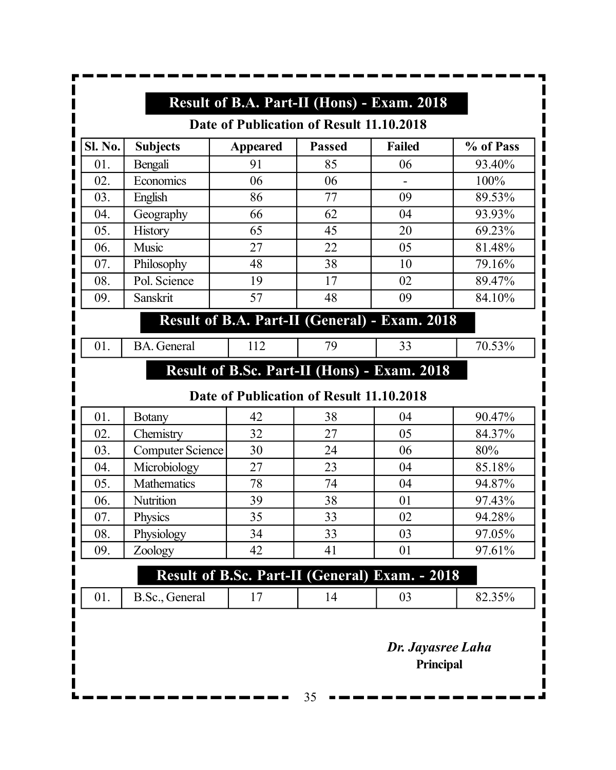| <b>Sl. No.</b><br>01. | <b>Subjects</b>         | <b>Appeared</b>                          | <b>Passed</b> | <b>Failed</b>                                  | % of Pass |
|-----------------------|-------------------------|------------------------------------------|---------------|------------------------------------------------|-----------|
|                       | Bengali                 | 91                                       | 85            | 06                                             | 93.40%    |
| 02.                   | Economics               | 06                                       | 06            |                                                | 100%      |
| 03.                   | English                 | 86                                       | 77            | 09                                             | 89.53%    |
| 04.                   | Geography               | 66                                       | 62            | 04                                             | 93.93%    |
| 05.                   | History                 | 65                                       | 45            | 20                                             | 69.23%    |
| 06.                   | Music                   | 27                                       | 22            | 05                                             | 81.48%    |
| 07.                   | Philosophy              | 48                                       | 38            | 10                                             | 79.16%    |
| 08.                   | Pol. Science            | 19                                       | 17            | 02                                             | 89.47%    |
| 09.                   | Sanskrit                | 57                                       | 48            | 09                                             | 84.10%    |
|                       |                         |                                          |               | Result of B.A. Part-II (General) - Exam. 2018  |           |
| 01.                   | <b>BA.</b> General      | 112                                      | 79            | 33                                             | 70.53%    |
|                       |                         |                                          |               | Result of B.Sc. Part-II (Hons) - Exam. 2018    |           |
|                       |                         | Date of Publication of Result 11.10.2018 |               |                                                |           |
| 01.                   | <b>Botany</b>           | 42                                       | 38            | 04                                             | 90.47%    |
| 02.                   | Chemistry               | 32                                       | 27            | 05                                             | 84.37%    |
| 03.                   | <b>Computer Science</b> | 30                                       | 24            | 06                                             | 80%       |
| 04.                   | Microbiology            | 27                                       | 23            | 04                                             | 85.18%    |
| 05.                   | Mathematics             | 78                                       | 74            | 04                                             | 94.87%    |
| 06.                   | Nutrition               | 39                                       | 38            | 01                                             | 97.43%    |
| 07.                   | Physics                 | 35                                       | 33            | 02                                             | 94.28%    |
| 08.                   | Physiology              | 34                                       | 33            | 03                                             | 97.05%    |
| 09.                   | Zoology                 | 42                                       | 41            | 01                                             | 97.61%    |
|                       |                         |                                          |               | Result of B.Sc. Part-II (General) Exam. - 2018 |           |

 $35 -$ 

- -

.,

- - -

. .

▄

- -

۰

ь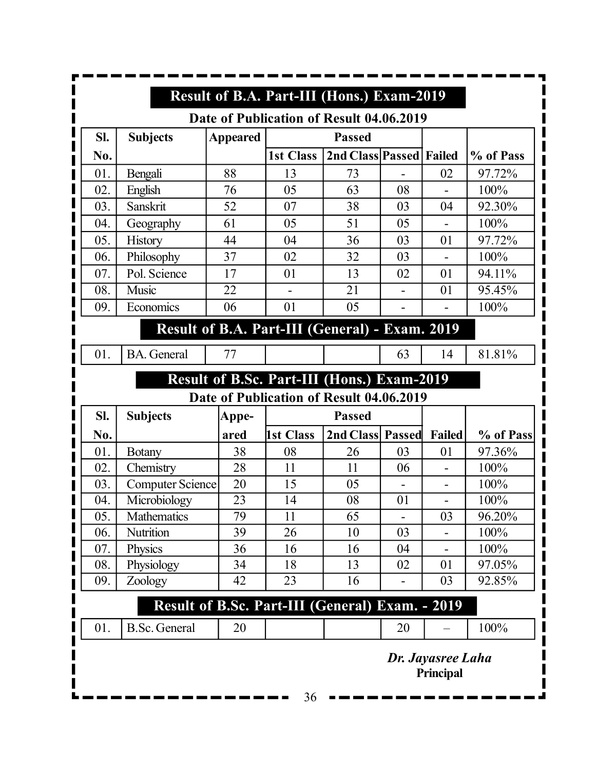|                   | Result of B.A. Part-III (Hons.) Exam-2019       |                 |                                                                                        |                             |                |                |           |  |  |
|-------------------|-------------------------------------------------|-----------------|----------------------------------------------------------------------------------------|-----------------------------|----------------|----------------|-----------|--|--|
|                   |                                                 |                 | Date of Publication of Result 04.06.2019                                               |                             |                |                |           |  |  |
| SI.               | <b>Subjects</b>                                 | <b>Appeared</b> |                                                                                        | <b>Passed</b>               |                |                |           |  |  |
| No.               |                                                 |                 | 1st Class                                                                              | 2nd Class   Passed   Failed |                |                | % of Pass |  |  |
| 01.               | Bengali                                         | 88              | 13                                                                                     | 73                          |                | 02             | 97.72%    |  |  |
| 02.               | English                                         | 76              | 05                                                                                     | 63                          | 08             |                | 100%      |  |  |
| 03.               | Sanskrit                                        | 52              | 07                                                                                     | 38                          | 03             | 04             | 92.30%    |  |  |
| 04.               | Geography                                       | 61              | 05                                                                                     | 51                          | 05             |                | 100%      |  |  |
| 05.               | History                                         | 44              | 04                                                                                     | 36                          | 03             | 01             | 97.72%    |  |  |
| 06.               | Philosophy                                      | 37              | 02                                                                                     | 32                          | 03             |                | 100%      |  |  |
| 07.               | Pol. Science                                    | 17              | 01                                                                                     | 13                          | 02             | 01             | 94.11%    |  |  |
| 08.               | Music                                           | 22              |                                                                                        | 21                          | $\overline{a}$ | 01             | 95.45%    |  |  |
| 09.               | Economics                                       | 06              | 01                                                                                     | 05                          |                |                | 100%      |  |  |
|                   | Result of B.A. Part-III (General) - Exam. 2019  |                 |                                                                                        |                             |                |                |           |  |  |
| 01.               | <b>BA.</b> General                              | 77              |                                                                                        |                             | 63             | 14             | 81.81%    |  |  |
|                   |                                                 |                 | Result of B.Sc. Part-III (Hons.) Exam-2019<br>Date of Publication of Result 04.06.2019 |                             |                |                |           |  |  |
| SI.               | <b>Subjects</b>                                 | Appe-           |                                                                                        | <b>Passed</b>               |                |                |           |  |  |
| No.               |                                                 | ared            | 1st Class                                                                              | 2nd Class Passed            |                | <b>Failed</b>  | % of Pass |  |  |
| 01.               | <b>Botany</b>                                   | 38              | 08                                                                                     | 26                          | 03             | 01             | 97.36%    |  |  |
| 02.               | Chemistry                                       | 28              | 11                                                                                     | 11                          | 06             |                | 100%      |  |  |
| 03.               | Computer Science                                | 20              | 15                                                                                     | 05                          | $\overline{a}$ | $\overline{a}$ | 100%      |  |  |
| 04.               | Microbiology                                    | 23              | 14                                                                                     | 08                          | 01             | $\overline{a}$ | 100%      |  |  |
| $\overline{05}$ . | <b>Mathematics</b>                              | 79              | 11                                                                                     | 65                          | $\overline{a}$ | 03             | 96.20%    |  |  |
| 06.               | Nutrition                                       | 39              | 26                                                                                     | 10                          | 03             |                | 100%      |  |  |
| 07.               | Physics                                         | 36              | 16                                                                                     | 16                          | 04             |                | 100%      |  |  |
| 08.               | Physiology                                      | 34              | 18                                                                                     | 13                          | 02             | 01             | 97.05%    |  |  |
| 09.               | Zoology                                         | 42              | 23                                                                                     | 16                          |                | 03             | 92.85%    |  |  |
|                   | Result of B.Sc. Part-III (General) Exam. - 2019 |                 |                                                                                        |                             |                |                |           |  |  |
| 01.               | <b>B.Sc.</b> General                            | 20              |                                                                                        |                             | 20             |                | 100%      |  |  |
|                   | Dr. Jayasree Laha<br>Principal<br>36            |                 |                                                                                        |                             |                |                |           |  |  |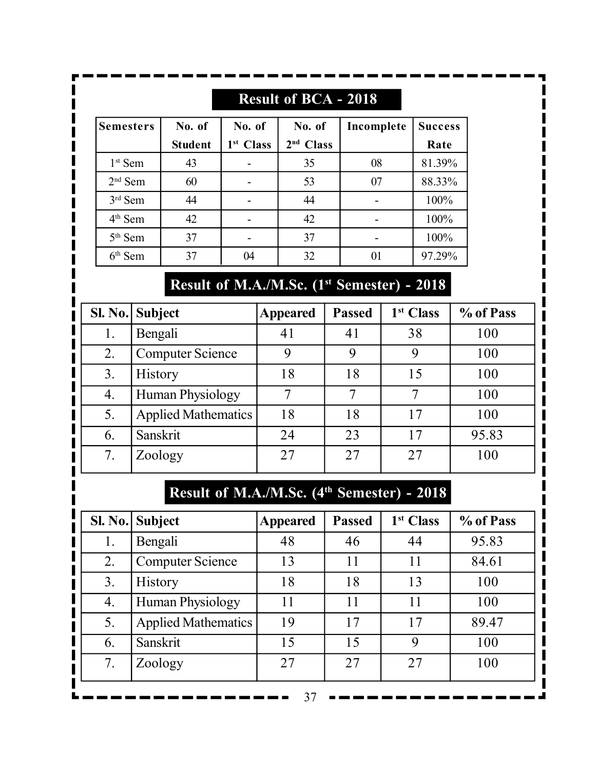|                     | <b>Result of BCA - 2018</b> |                                 |                                 |            |                        |  |  |  |
|---------------------|-----------------------------|---------------------------------|---------------------------------|------------|------------------------|--|--|--|
| <b>Semesters</b>    | No. of<br><b>Student</b>    | No. of<br>1 <sup>st</sup> Class | No. of<br>2 <sup>nd</sup> Class | Incomplete | <b>Success</b><br>Rate |  |  |  |
| 1 <sup>st</sup> Sem | 43                          |                                 | 35                              | 08         | 81.39%                 |  |  |  |
| $2nd$ Sem           | 60                          |                                 | 53                              | 07         | 88.33%                 |  |  |  |
| 3rd Sem             | 44                          |                                 | 44                              |            | 100%                   |  |  |  |
| $4th$ Sem           | 42                          |                                 | 42                              |            | 100%                   |  |  |  |
| $5th$ Sem           | 37                          |                                 | 37                              |            | 100%                   |  |  |  |
| $6th$ Sem           | 37                          | 04                              | 32                              | 01         | 97.29%                 |  |  |  |

## **Result of M.A./M.Sc. (1st Semester) - 2018**

|    | Sl. No. Subject            | <b>Appeared</b> | <b>Passed</b> | 1 <sup>st</sup> Class | % of Pass |
|----|----------------------------|-----------------|---------------|-----------------------|-----------|
| 1. | Bengali                    | 41              | 41            | 38                    | 100       |
| 2. | <b>Computer Science</b>    | 9               | 9             | 9                     | 100       |
| 3. | History                    | 18              | 18            | 15                    | 100       |
| 4. | Human Physiology           |                 | 7             | 7                     | 100       |
| 5. | <b>Applied Mathematics</b> | 18              | 18            | 17                    | 100       |
| 6. | Sanskrit                   | 24              | 23            | 17                    | 95.83     |
| 7. | Zoology                    | 27              | 27            | 27                    | 100       |

## **Result of M.A./M.Sc. (4th Semester) - 2018**

|    | Sl. No. Subject            | <b>Appeared</b> | <b>Passed</b> | 1 <sup>st</sup> Class | % of Pass |
|----|----------------------------|-----------------|---------------|-----------------------|-----------|
| 1. | Bengali                    | 48              | 46            | 44                    | 95.83     |
| 2. | <b>Computer Science</b>    | 13              | 11            | 11                    | 84.61     |
| 3. | History                    | 18              | 18            | 13                    | 100       |
| 4. | Human Physiology           | 11              | 11            | 11                    | 100       |
| 5. | <b>Applied Mathematics</b> | 19              | 17            | 17                    | 89.47     |
| 6. | Sanskrit                   | 15              | 15            | 9                     | 100       |
| 7. | Zoology                    | 27              | 27            | 27                    | 100       |
|    |                            |                 |               |                       |           |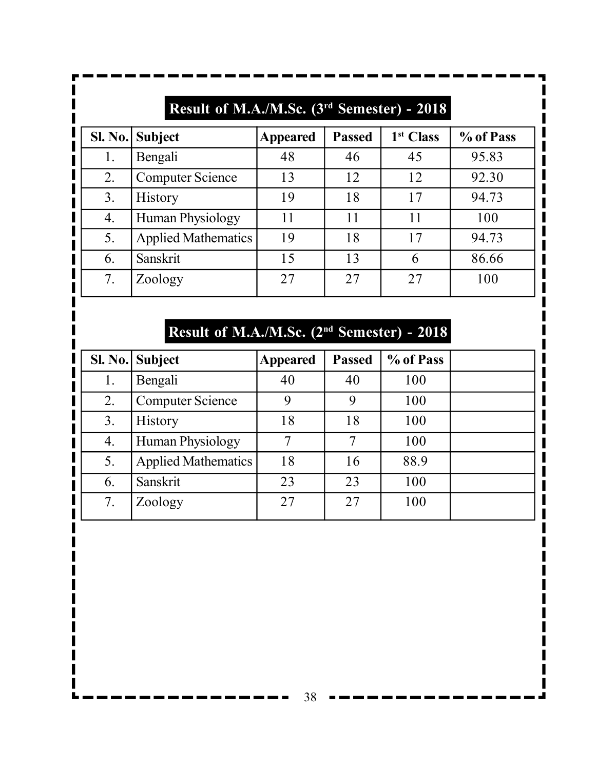|                | Result of M.A./M.Sc. (3rd Semester) - 2018 |                 |               |                       |           |  |  |  |  |
|----------------|--------------------------------------------|-----------------|---------------|-----------------------|-----------|--|--|--|--|
| SI. No.        | <b>Subject</b>                             | <b>Appeared</b> | <b>Passed</b> | 1 <sup>st</sup> Class | % of Pass |  |  |  |  |
| 1.             | Bengali                                    | 48              | 46            | 45                    | 95.83     |  |  |  |  |
| 2.             | <b>Computer Science</b>                    | 13              | 12            | 12                    | 92.30     |  |  |  |  |
| 3.             | <b>History</b>                             | 19              | 18            | 17                    | 94.73     |  |  |  |  |
| 4.             | Human Physiology                           | 11              | 11            | 11                    | 100       |  |  |  |  |
| 5.             | <b>Applied Mathematics</b>                 | 19              | 18            | 17                    | 94.73     |  |  |  |  |
| 6.             | Sanskrit                                   | 15              | 13            | 6                     | 86.66     |  |  |  |  |
| 7 <sub>1</sub> | Zoology                                    | 27              | 27            | 27                    | 100       |  |  |  |  |

# **Result of M.A./M.Sc. (2nd Semester) - 2018**

|    | Sl. No. Subject            | <b>Appeared</b> | <b>Passed</b> | % of Pass |  |
|----|----------------------------|-----------------|---------------|-----------|--|
| 1. | Bengali                    | 40              | 40            | 100       |  |
| 2. | <b>Computer Science</b>    | 9               | 9             | 100       |  |
| 3. | History                    | 18              | 18            | 100       |  |
| 4. | Human Physiology           |                 | $\tau$        | 100       |  |
| 5. | <b>Applied Mathematics</b> | 18              | 16            | 88.9      |  |
| 6. | Sanskrit                   | 23              | 23            | 100       |  |
| 7. | Zoology                    | 27              | 27            | 100       |  |
|    |                            |                 |               |           |  |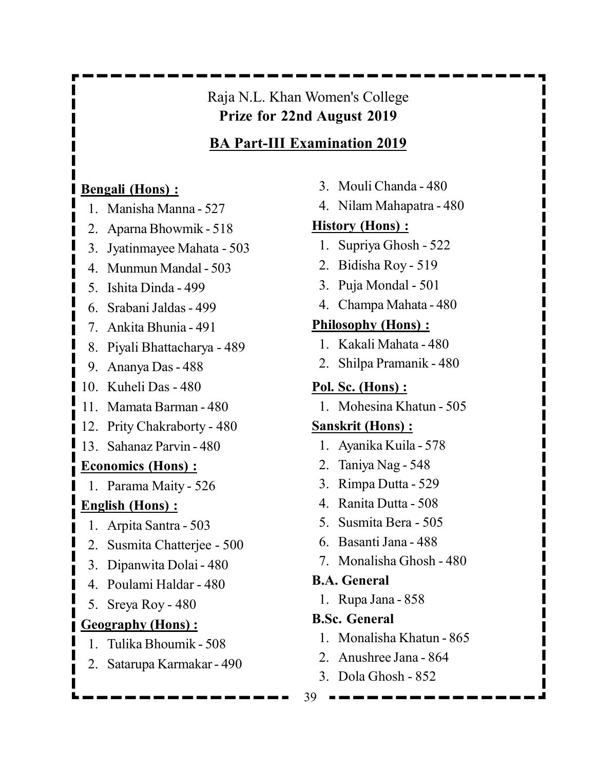## Raja N.L. Khan Women's College **Prize for 22nd August 2019**

## **BA Part-III Examination 2019**

#### **Bengali (Hons) :**

- 1. Manisha Manna 527
- 2. Aparna Bhowmik 518
- 3. Jyatinmayee Mahata 503
- 4. Munmun Mandal 503
- 5. Ishita Dinda 499
- 6. Srabani Jaldas 499
- 7. Ankita Bhunia 491
- 8. Piyali Bhattacharya 489
- 9. Ananya Das 488
- 10. Kuheli Das 480
	- 11. Mamata Barman 480
	- 12. Prity Chakraborty 480
	- 13. Sahanaz Parvin 480

### **Economics (Hons) :**

1. Parama Maity - 526

## **English (Hons) :**

- 1. Arpita Santra 503
- 2. Susmita Chatterjee 500
- 3. Dipanwita Dolai 480
- 4. Poulami Haldar 480
- 5. Sreya Roy 480

### **Geography (Hons) :**

- 1. Tulika Bhoumik 508
- 2. Satarupa Karmakar 490
- 3. Mouli Chanda 480
- 4. Nilam Mahapatra 480

## **History (Hons) :**

- 1. Supriya Ghosh 522
- 2. Bidisha Roy 519
- 3. Puja Mondal 501
- 4. Champa Mahata 480

## **Philosophy (Hons) :**

- 1. Kakali Mahata 480
- 2. Shilpa Pramanik 480

## **Pol. Sc. (Hons) :**

1. Mohesina Khatun - 505

### **Sanskrit (Hons) :**

- 1. Ayanika Kuila 578
- 2. Taniya Nag 548
- 3. Rimpa Dutta 529
- 4. Ranita Dutta 508
- 5. Susmita Bera 505
- 6. Basanti Jana 488
- 7. Monalisha Ghosh 480

#### **B.A. General**

1. Rupa Jana - 858

#### **B.Sc. General**

- 1. Monalisha Khatun 865
- 2. Anushree Jana 864
- 3. Dola Ghosh 852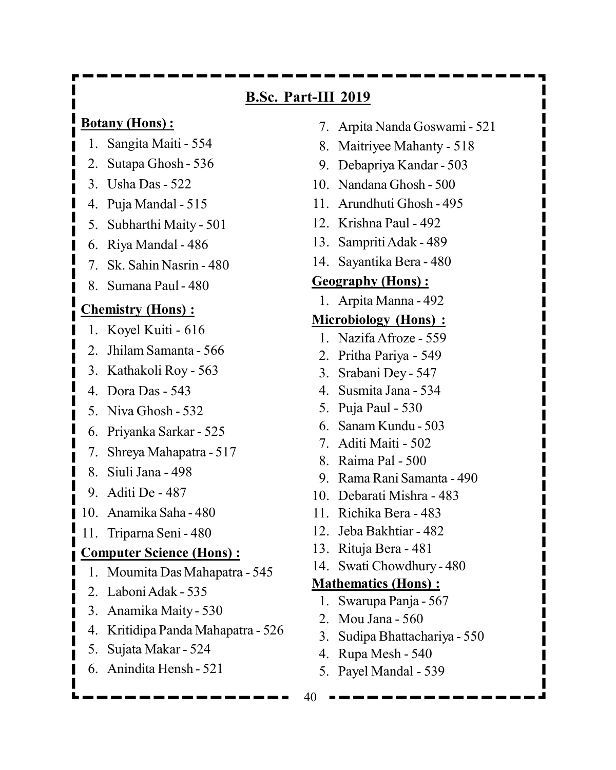## **B.Sc. Part-III 2019**

#### **Botany (Hons) :**

- 1. Sangita Maiti 554
- 2. Sutapa Ghosh 536
- 3. Usha Das 522
- 4. Puja Mandal 515
- 5. Subharthi Maity 501
- 6. Riya Mandal 486
- 7. Sk. Sahin Nasrin 480
- 8. Sumana Paul 480

#### **Chemistry (Hons) :**

- 1. Koyel Kuiti 616
- 2. Jhilam Samanta 566
- 3. Kathakoli Roy 563
- 4. Dora Das 543

П

- 5. Niva Ghosh 532
- 6. Priyanka Sarkar 525
- 7. Shreya Mahapatra 517
- 8. Siuli Jana 498
- 9. Aditi De 487
- 10. Anamika Saha 480
- 11. Triparna Seni 480

#### **Computer Science (Hons) :**

- 1. Moumita Das Mahapatra 545
- 2. Laboni Adak 535
- 3. Anamika Maity 530
- 4. Kritidipa Panda Mahapatra 526
- 5. Sujata Makar 524
- 6. Anindita Hensh 521
- 7. Arpita Nanda Goswami 521
- 8. Maitriyee Mahanty 518
- 9. Debapriya Kandar 503
- 10. Nandana Ghosh 500
- 11. Arundhuti Ghosh 495
- 12. Krishna Paul 492
- 13. Sampriti Adak 489
- 14. Sayantika Bera 480

#### **Geography (Hons) :**

1. Arpita Manna - 492

#### **Microbiology (Hons) :**

- 1. Nazifa Afroze 559
- 2. Pritha Pariya 549
- 3. Srabani Dey 547
- 4. Susmita Jana 534
- 5. Puja Paul 530
- 6. Sanam Kundu 503
- 7. Aditi Maiti 502
- 8. Raima Pal 500
- 9. Rama Rani Samanta 490
- 10. Debarati Mishra 483
- 11. Richika Bera 483
- 12. Jeba Bakhtiar 482
- 13. Rituja Bera 481
- 14. Swati Chowdhury 480

#### **Mathematics (Hons) :**

- 1. Swarupa Panja 567
- 2. Mou Jana 560
- 3. Sudipa Bhattachariya 550
- 4. Rupa Mesh 540
- 5. Payel Mandal 539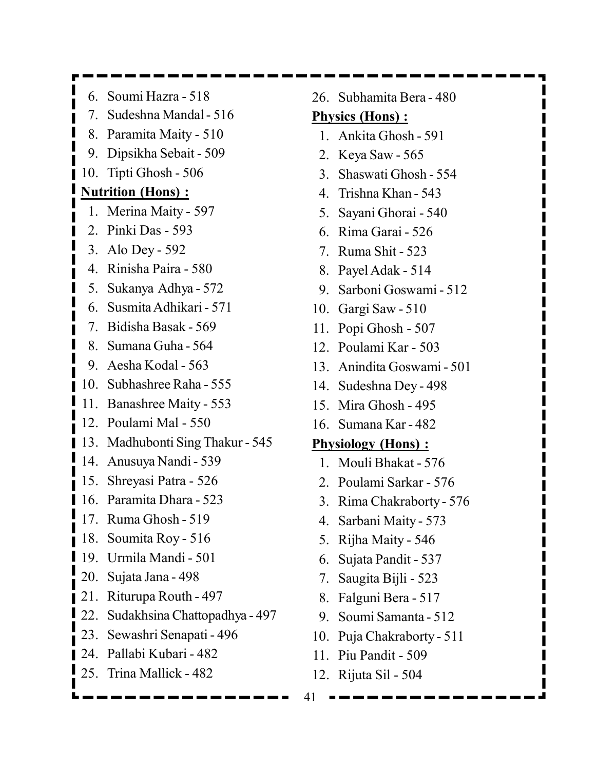6. Soumi Hazra - 518 7. Sudeshna Mandal - 516 8. Paramita Maity - 510 9. Dipsikha Sebait - 509 10. Tipti Ghosh - 506 **Nutrition (Hons) :** 1. Merina Maity - 597 2. Pinki Das - 593 3. Alo Dey - 592 4. Rinisha Paira - 580 5. Sukanya Adhya - 572 П 6. Susmita Adhikari - 571 7. Bidisha Basak - 569 8. Sumana Guha - 564 9. Aesha Kodal - 563 10. Subhashree Raha - 555 11. Banashree Maity - 553 12. Poulami Mal - 550 13. Madhubonti Sing Thakur - 545 14. Anusuya Nandi - 539 15. Shreyasi Patra - 526 16. Paramita Dhara - 523 17. Ruma Ghosh - 519 18. Soumita Roy - 516 19. Urmila Mandi - 501 20. Sujata Jana - 498 21. Riturupa Routh - 497 22. Sudakhsina Chattopadhya - 497 23. Sewashri Senapati - 496 24. Pallabi Kubari - 482

25. Trina Mallick - 482

26. Subhamita Bera - 480

#### **Physics (Hons) :**

- 1. Ankita Ghosh 591
- 2. Keya Saw 565
- 3. Shaswati Ghosh 554
- 4. Trishna Khan 543
- 5. Sayani Ghorai 540
- 6. Rima Garai 526
- 7. Ruma Shit 523
- 8. Payel Adak 514
- 9. Sarboni Goswami 512
- 10. Gargi Saw 510
- 11. Popi Ghosh 507
- 12. Poulami Kar 503
- 13. Anindita Goswami 501
- 14. Sudeshna Dey 498
- 15. Mira Ghosh 495
- 16. Sumana Kar 482

#### **Physiology (Hons) :**

- 1. Mouli Bhakat 576
- 2. Poulami Sarkar 576
- 3. Rima Chakraborty 576
- 4. Sarbani Maity 573
- 5. Rijha Maity 546
- 6. Sujata Pandit 537
- 7. Saugita Bijli 523
- 8. Falguni Bera 517
- 9. Soumi Samanta 512
- 10. Puja Chakraborty 511
- 11. Piu Pandit 509
- 12. Rijuta Sil 504

41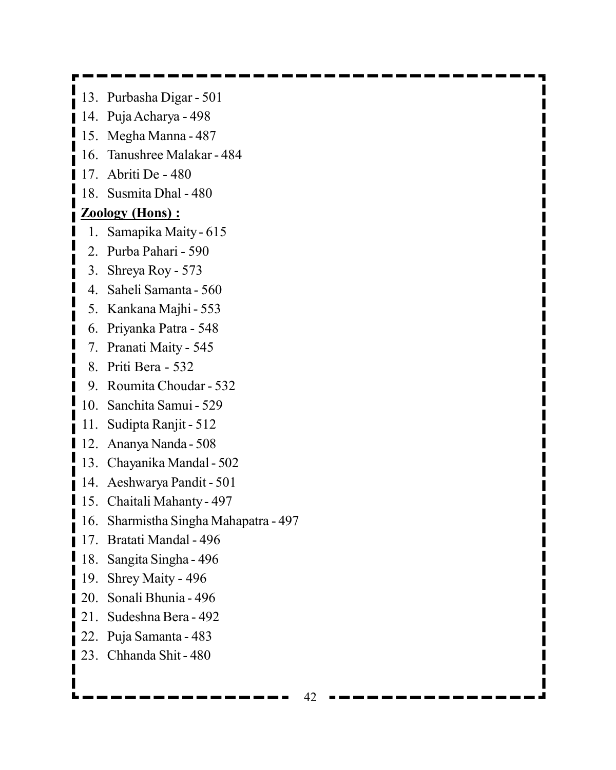13. Purbasha Digar - 501 14. Puja Acharya - 498 15. Megha Manna - 487 16. Tanushree Malakar - 484 17. Abriti De - 480 18. Susmita Dhal - 480 **Zoology (Hons) :** 1. Samapika Maity - 615 2. Purba Pahari - 590 3. Shreya Roy - 573 4. Saheli Samanta - 560 5. Kankana Majhi - 553 6. Priyanka Patra - 548 I 7. Pranati Maity - 545 8. Priti Bera - 532 9. Roumita Choudar - 532 10. Sanchita Samui - 529 11. Sudipta Ranjit - 512 12. Ananya Nanda - 508 13. Chayanika Mandal - 502 14. Aeshwarya Pandit - 501 15. Chaitali Mahanty - 497 16. Sharmistha Singha Mahapatra - 497 17. Bratati Mandal - 496 18. Sangita Singha - 496 19. Shrey Maity - 496 20. Sonali Bhunia - 496 21. Sudeshna Bera - 492 22. Puja Samanta - 483 23. Chhanda Shit - 480L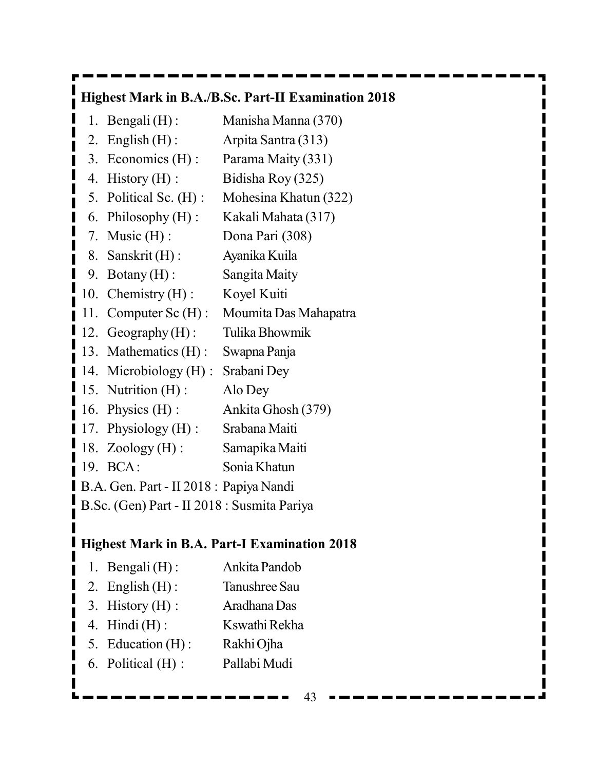| Highest Mark in B.A./B.Sc. Part-II Examination 2018 |                       |  |
|-----------------------------------------------------|-----------------------|--|
| Bengali $(H)$ :<br>1.                               | Manisha Manna (370)   |  |
| 2.<br>English $(H)$ :                               | Arpita Santra (313)   |  |
| Economics (H):<br>3.                                | Parama Maity (331)    |  |
| History(H):<br>4.                                   | Bidisha Roy (325)     |  |
| 5.<br>Political Sc. (H):                            | Mohesina Khatun (322) |  |
| Philosophy $(H)$ :<br>6.                            | Kakali Mahata (317)   |  |
| Music $(H)$ :<br>7.                                 | Dona Pari (308)       |  |
| 8. Sanskrit (H):                                    | Ayanika Kuila         |  |
| Botany $(H)$ :<br>9.                                | Sangita Maity         |  |
| Chemistry $(H)$ :<br>10.<br>Π                       | Koyel Kuiti           |  |
| Computer Sc $(H)$ :<br>11.                          | Moumita Das Mahapatra |  |
| 12. Geography $(H)$ :                               | Tulika Bhowmik        |  |
| Mathematics (H):<br>13.                             | Swapna Panja          |  |
| Microbiology $(H)$ :<br>14.                         | Srabani Dey           |  |
| 15. Nutrition (H) :                                 | Alo Dey               |  |
| ı<br>Physics $(H)$ :<br>16.                         | Ankita Ghosh (379)    |  |
| Physiology $(H)$ :<br>17.                           | Srabana Maiti         |  |
| Zoology (H) :<br>18.<br>п                           | Samapika Maiti        |  |
| BCA:<br>19.                                         | Sonia Khatun          |  |
| B.A. Gen. Part - II 2018 : Papiya Nandi             |                       |  |
| B.Sc. (Gen) Part - II 2018 : Susmita Pariya         |                       |  |
|                                                     |                       |  |
| <b>Highest Mark in B.A. Part-I Examination 2018</b> |                       |  |
| Bengali (H):<br>1.                                  | Ankita Pandob         |  |
| English $(H)$ :<br>2.                               | Tanushree Sau         |  |
| History(H):<br>3.                                   | Aradhana Das          |  |
| $Hindi(H)$ :<br>4.                                  | Kswathi Rekha         |  |

5. Education (H) : Rakhi Ojha

I П

6. Political (H) : Pallabi Mudi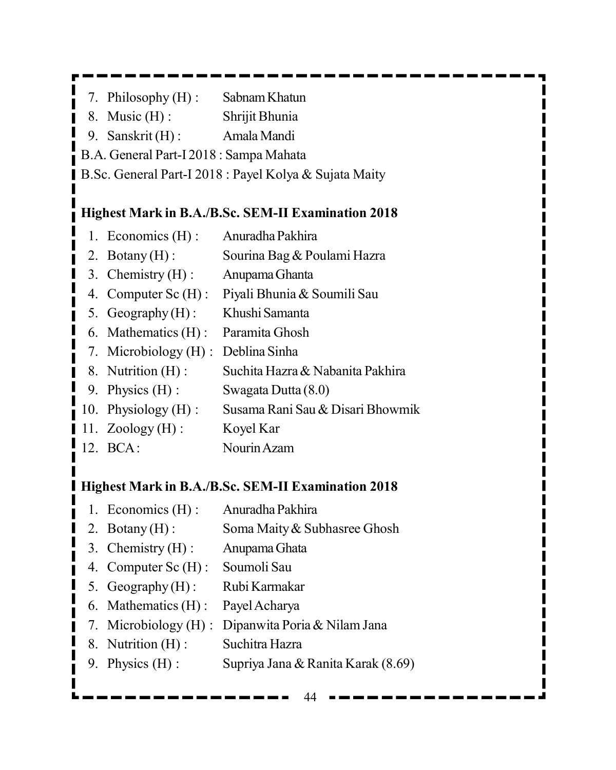- 7. Philosophy (H) : Sabnam Khatun
- 8. Music (H) : Shrijit Bhunia
- 9. Sanskrit (H) : Amala Mandi
- B.A. General Part-I 2018 : Sampa Mahata
- B.Sc. General Part-I 2018 : Payel Kolya & Sujata Maity

#### **Highest Mark in B.A./B.Sc. SEM-II Examination 2018**

- 1. Economics (H) : Anuradha Pakhira
- 2. Botany (H) : Sourina Bag & Poulami Hazra
- 3. Chemistry (H) : Anupama Ghanta
- 4. Computer Sc (H) : Piyali Bhunia & Soumili Sau
- 5. Geography (H) : Khushi Samanta
- 6. Mathematics (H) : Paramita Ghosh
- 7. Microbiology (H) : Deblina Sinha
- 8. Nutrition (H) : Suchita Hazra & Nabanita Pakhira
- 9. Physics (H) : Swagata Dutta (8.0)
- 10. Physiology (H) : Susama Rani Sau & Disari Bhowmik
- 11. Zoology (H) : Koyel Kar
- 12. BCA: Nourin Azam

#### **Highest Mark in B.A./B.Sc. SEM-II Examination 2018**

- 1. Economics (H) : Anuradha Pakhira
- 2. Botany (H) : Soma Maity & Subhasree Ghosh
- 3. Chemistry (H) : Anupama Ghata
- 4. Computer Sc (H) : Soumoli Sau
- 5. Geography (H) : Rubi Karmakar
- 6. Mathematics (H) : Payel Acharya
- 7. Microbiology (H) : Dipanwita Poria & Nilam Jana
- 8. Nutrition (H) : Suchitra Hazra
- 9. Physics (H) : Supriya Jana & Ranita Karak (8.69)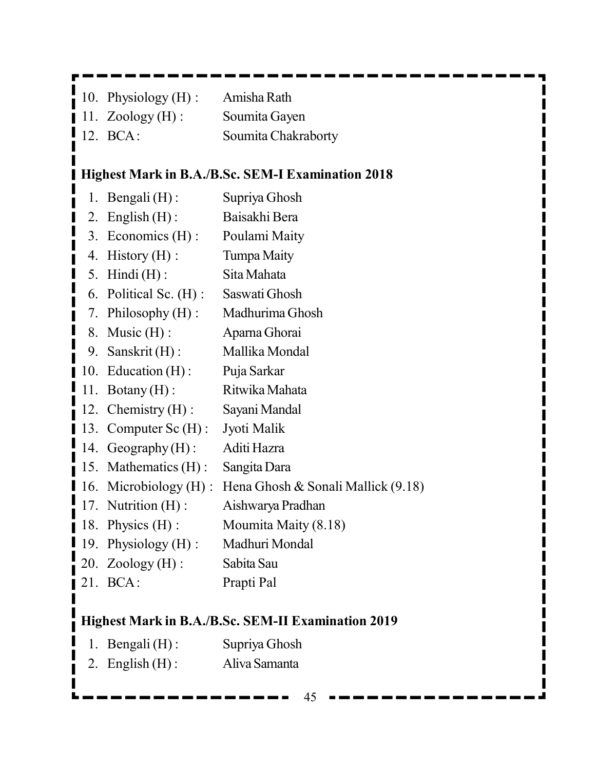| 10. Physiology (H) :                               | Amisha Rath                                       |
|----------------------------------------------------|---------------------------------------------------|
| 11. Zoology $(H)$ :                                | Soumita Gayen                                     |
| 12. BCA:                                           | Soumita Chakraborty                               |
|                                                    |                                                   |
|                                                    | Highest Mark in B.A./B.Sc. SEM-I Examination 2018 |
| 1. Bengali $(H)$ :                                 | Supriya Ghosh                                     |
| 2. English $(H)$ :                                 | Baisakhi Bera                                     |
| I<br>3. Economics $(H)$ :<br>I                     | Poulami Maity                                     |
| 4. History $(H)$ :<br>I                            | Tumpa Maity                                       |
| I<br>5. Hindi $(H)$ :                              | Sita Mahata                                       |
| I<br>6. Political Sc. $(H)$ :<br>I                 | Saswati Ghosh                                     |
| 7. Philosophy $(H)$ :<br>ı                         | Madhurima Ghosh                                   |
| I<br>8. Music $(H)$ :                              | Aparna Ghorai                                     |
| I<br>9. Sanskrit $(H)$ :                           | Mallika Mondal                                    |
| 10. Education $(H)$ :                              | Puja Sarkar                                       |
| 11. Botany $(H)$ :                                 | Ritwika Mahata                                    |
| 12. Chemistry $(H)$ :                              | Sayani Mandal                                     |
| 13. Computer Sc $(H)$ :                            | Jyoti Malik                                       |
| 14. Geography $(H)$ :                              | Aditi Hazra                                       |
| 15. Mathematics (H) :                              | Sangita Dara                                      |
| 16. Microbiology $(H)$ :                           | Hena Ghosh & Sonali Mallick (9.18)                |
| 17. Nutrition $(H)$ :                              | Aishwarya Pradhan                                 |
| 18. Physics $(H)$ :                                | Moumita Maity (8.18)                              |
| 19. Physiology $(H)$ :                             | Madhuri Mondal                                    |
| 20. Zoology $(H)$ :                                | Sabita Sau                                        |
| $\blacksquare$ 21. BCA:                            | Prapti Pal                                        |
|                                                    |                                                   |
| Highest Mark in B.A./B.Sc. SEM-II Examination 2019 |                                                   |
| 1. Bengali $(H)$ :                                 | Supriya Ghosh                                     |
| 2. English (H): Aliva Samanta                      |                                                   |
|                                                    |                                                   |
|                                                    | 45                                                |

د . ÷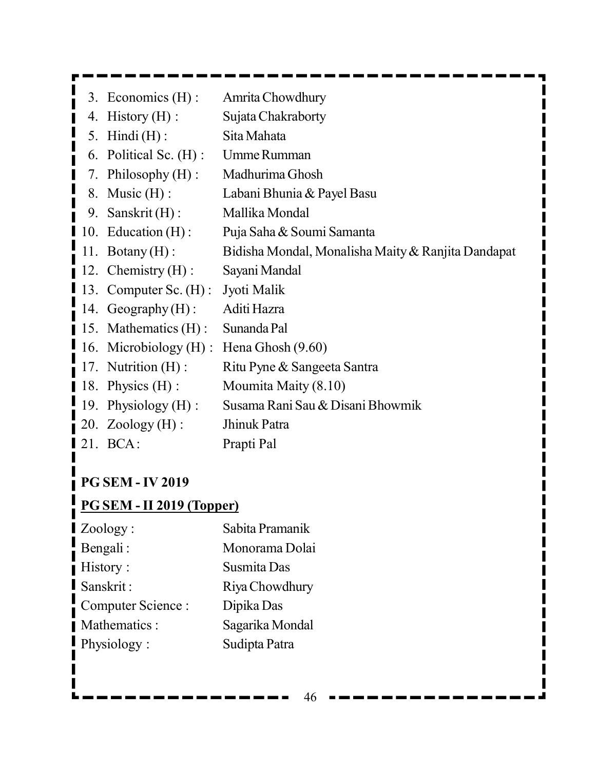|                    | 3. Economics $(H)$ :     | Amrita Chowdhury                                   |
|--------------------|--------------------------|----------------------------------------------------|
| 4.                 | History(H):              | Sujata Chakraborty                                 |
| 5.                 | $Hindi(H)$ :             | Sita Mahata                                        |
|                    | 6. Political Sc. $(H)$ : | Umme Rumman                                        |
|                    | 7. Philosophy $(H)$ :    | Madhurima Ghosh                                    |
| 8.                 | Music $(H)$ :            | Labani Bhunia & Payel Basu                         |
| 9.                 | Sanskrit $(H)$ :         | Mallika Mondal                                     |
| 10.                | Education $(H)$ :        | Puja Saha & Soumi Samanta                          |
| 11.                | Botany $(H)$ :           | Bidisha Mondal, Monalisha Maity & Ranjita Dandapat |
| 2.                 | Chemistry $(H)$ :        | Sayani Mandal                                      |
| $\blacksquare$ 13. | Computer Sc. $(H)$ :     | Jyoti Malik                                        |
| (4,                | $Geography(H)$ :         | Aditi Hazra                                        |
|                    | 15. Mathematics $(H)$ :  | Sunanda Pal                                        |
|                    | 16. Microbiology (H) :   | Hena Ghosh (9.60)                                  |
|                    | Nutrition $(H)$ :        | Ritu Pyne & Sangeeta Santra                        |
| 18.                | Physics $(H)$ :          | Moumita Maity (8.10)                               |
| 19.                | Physiology (H) :         | Susama Rani Sau & Disani Bhowmik                   |
|                    | 20. Zoology $(H)$ :      | Jhinuk Patra                                       |
|                    | BCA:                     | Prapti Pal                                         |
|                    |                          |                                                    |

## **PG SEM - IV 2019**

## **PG SEM - II 2019 (Topper)**

| Zoology:          | Sabita Pramanik |
|-------------------|-----------------|
| Bengali:          | Monorama Dolai  |
| History:          | Susmita Das     |
| Sanskrit:         | Riya Chowdhury  |
| Computer Science: | Dipika Das      |
| Mathematics:      | Sagarika Mondal |
| Physiology:       | Sudipta Patra   |
|                   |                 |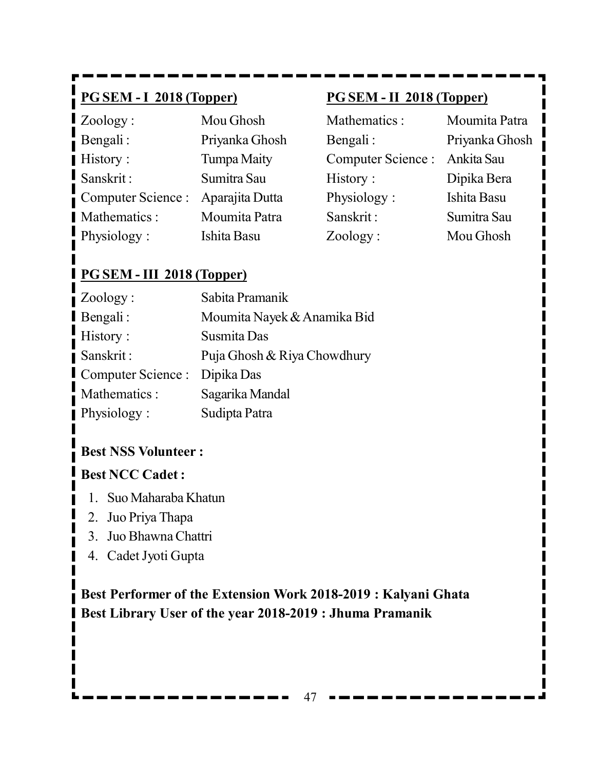## **PG SEM - I 2018 (Topper)**

| Zoology:          | Mou Ghosh          |
|-------------------|--------------------|
| Bengali:          | Priyanka Ghosh     |
| History:          | <b>Tumpa Maity</b> |
| Sanskrit:         | Sumitra Sau        |
| Computer Science: | Aparajita Dutta    |
| Mathematics:      | Moumita Patra      |
| Physiology:       | Ishita Basu        |

#### **PG SEM - II 2018 (Topper)**

| Moumita Patra  |
|----------------|
| Priyanka Ghosh |
| Ankita Sau     |
| Dipika Bera    |
| Ishita Basu    |
| Sumitra Sau    |
| Mou Ghosh      |
|                |

#### **PG SEM - III 2018 (Topper)**

| Sabita Pramanik             |
|-----------------------------|
| Moumita Nayek & Anamika Bid |
| Susmita Das                 |
| Puja Ghosh & Riya Chowdhury |
| Dipika Das                  |
| Sagarika Mandal             |
| Sudipta Patra               |
|                             |

#### **Best NSS Volunteer :**

#### **Best NCC Cadet :**

- 1. Suo Maharaba Khatun
- 2. Juo Priya Thapa
- 3. Juo Bhawna Chattri
- 4. Cadet Jyoti Gupta

## **Best Performer of the Extension Work 2018-2019 : Kalyani Ghata Best Library User of the year 2018-2019 : Jhuma Pramanik**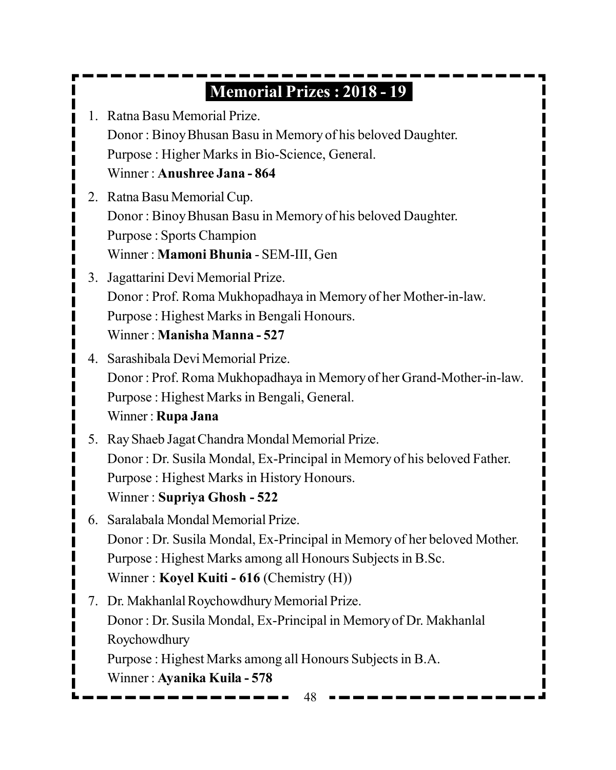# **Memorial Prizes : 2018 - 19**

- 1. Ratna Basu Memorial Prize.
- Donor : Binoy Bhusan Basu in Memory of his beloved Daughter. Purpose : Higher Marks in Bio-Science, General. Winner : **Anushree Jana - 864**
- 2. Ratna Basu Memorial Cup. Donor : Binoy Bhusan Basu in Memory of his beloved Daughter. Purpose : Sports Champion Winner : **Mamoni Bhunia** - SEM-III, Gen
- 3. Jagattarini Devi Memorial Prize. Donor : Prof. Roma Mukhopadhaya in Memory of her Mother-in-law. Purpose : Highest Marks in Bengali Honours. Winner : **Manisha Manna - 527**
- 4. Sarashibala Devi Memorial Prize. Donor : Prof. Roma Mukhopadhaya in Memory of her Grand-Mother-in-law. Purpose : Highest Marks in Bengali, General. Winner : **Rupa Jana**
- 5. Ray Shaeb Jagat Chandra Mondal Memorial Prize. Donor : Dr. Susila Mondal, Ex-Principal in Memory of his beloved Father. Purpose : Highest Marks in History Honours. Winner : **Supriya Ghosh - 522**

## 6. Saralabala Mondal Memorial Prize. Donor : Dr. Susila Mondal, Ex-Principal in Memory of her beloved Mother. Purpose : Highest Marks among all Honours Subjects in B.Sc. Winner : **Koyel Kuiti - 616** (Chemistry (H))

- 7. Dr. Makhanlal Roychowdhury Memorial Prize. Donor : Dr. Susila Mondal, Ex-Principal in Memory of Dr. Makhanlal Roychowdhury Purpose : Highest Marks among all Honours Subjects in B.A.
	- Winner : **Ayanika Kuila 578**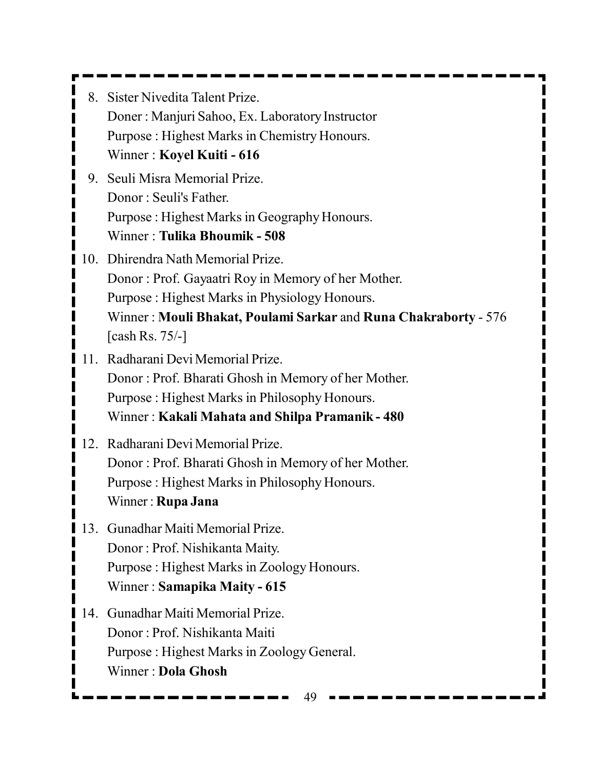- 8. Sister Nivedita Talent Prize. Doner : Manjuri Sahoo, Ex. Laboratory Instructor Purpose : Highest Marks in Chemistry Honours. Winner : **Koyel Kuiti - 616**
- 9. Seuli Misra Memorial Prize. Donor : Seuli's Father. Purpose : Highest Marks in Geography Honours. Winner : **Tulika Bhoumik - 508**
- 10. Dhirendra Nath Memorial Prize.
	- Donor : Prof. Gayaatri Roy in Memory of her Mother.
	- Purpose : Highest Marks in Physiology Honours.
	- Winner : **Mouli Bhakat, Poulami Sarkar** and **Runa Chakraborty** 576 [cash Rs. 75/-]
- 11. Radharani Devi Memorial Prize. Donor : Prof. Bharati Ghosh in Memory of her Mother. Purpose : Highest Marks in Philosophy Honours. Winner : **Kakali Mahata and Shilpa Pramanik - 480**
- 12. Radharani Devi Memorial Prize. Donor : Prof. Bharati Ghosh in Memory of her Mother. Purpose : Highest Marks in Philosophy Honours. Winner : **Rupa Jana**
- 13. Gunadhar Maiti Memorial Prize. Donor : Prof. Nishikanta Maity. Purpose : Highest Marks in Zoology Honours. Winner : **Samapika Maity - 615**
- 14. Gunadhar Maiti Memorial Prize. Donor : Prof. Nishikanta Maiti Purpose : Highest Marks in Zoology General. Winner : **Dola Ghosh**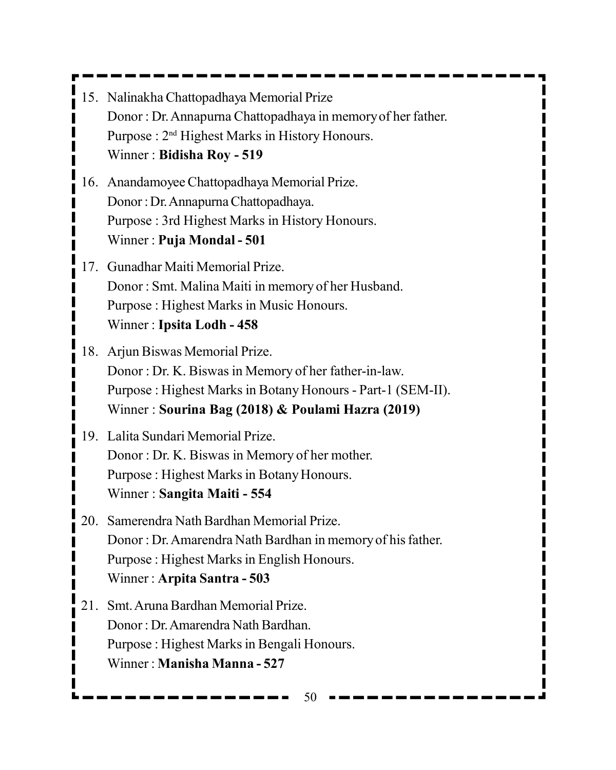- 15. Nalinakha Chattopadhaya Memorial Prize Donor : Dr. Annapurna Chattopadhaya in memory of her father. Purpose : 2nd Highest Marks in History Honours. Winner : **Bidisha Roy - 519**
- 16. Anandamoyee Chattopadhaya Memorial Prize. Donor : Dr. Annapurna Chattopadhaya. Purpose : 3rd Highest Marks in History Honours. Winner : **Puja Mondal - 501**
- 17. Gunadhar Maiti Memorial Prize. Donor : Smt. Malina Maiti in memory of her Husband. Purpose : Highest Marks in Music Honours. Winner : **Ipsita Lodh - 458**
- 18. Arjun Biswas Memorial Prize. Donor : Dr. K. Biswas in Memory of her father-in-law. Purpose : Highest Marks in Botany Honours - Part-1 (SEM-II). Winner : **Sourina Bag (2018) & Poulami Hazra (2019)**
- 19. Lalita Sundari Memorial Prize. Donor : Dr. K. Biswas in Memory of her mother. Purpose : Highest Marks in Botany Honours. Winner : **Sangita Maiti - 554**
- 20. Samerendra Nath Bardhan Memorial Prize. Donor : Dr. Amarendra Nath Bardhan in memory of his father. Purpose : Highest Marks in English Honours. Winner : **Arpita Santra - 503**
- 21. Smt. Aruna Bardhan Memorial Prize. Donor : Dr. Amarendra Nath Bardhan. Purpose : Highest Marks in Bengali Honours. Winner : **Manisha Manna - 527**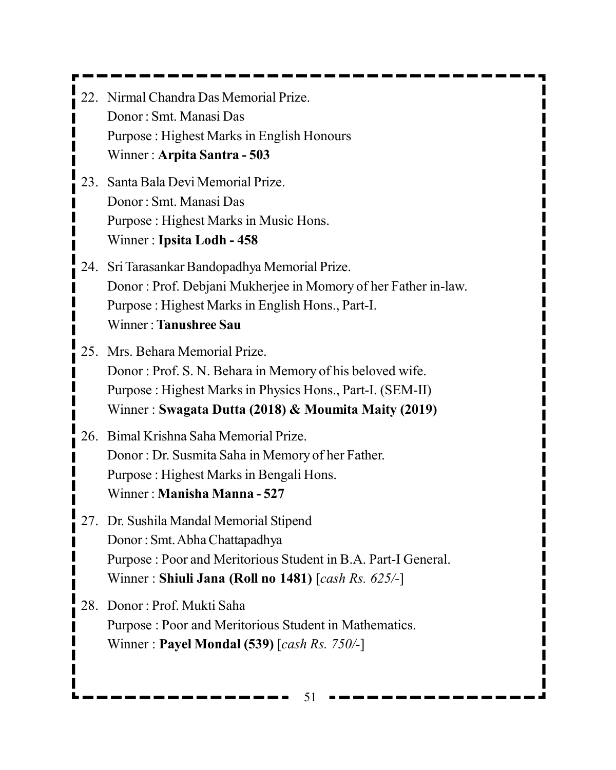- 22. Nirmal Chandra Das Memorial Prize. Donor : Smt. Manasi Das Purpose : Highest Marks in English Honours Winner : **Arpita Santra - 503**
- 23. Santa Bala Devi Memorial Prize. Donor : Smt. Manasi Das Purpose : Highest Marks in Music Hons. Winner : **Ipsita Lodh - 458**
- 24. Sri Tarasankar Bandopadhya Memorial Prize. Donor : Prof. Debjani Mukherjee in Momory of her Father in-law. Purpose : Highest Marks in English Hons., Part-I. Winner : **Tanushree Sau**
- 25. Mrs. Behara Memorial Prize. Donor : Prof. S. N. Behara in Memory of his beloved wife. Purpose : Highest Marks in Physics Hons., Part-I. (SEM-II) Winner : **Swagata Dutta (2018) & Moumita Maity (2019)**
- 26. Bimal Krishna Saha Memorial Prize. Donor : Dr. Susmita Saha in Memory of her Father. Purpose : Highest Marks in Bengali Hons. Winner : **Manisha Manna - 527**
- 27. Dr. Sushila Mandal Memorial Stipend Donor : Smt. Abha Chattapadhya Purpose : Poor and Meritorious Student in B.A. Part-I General. Winner : **Shiuli Jana (Roll no 1481)** [*cash Rs. 625/-*]
- 28. Donor : Prof. Mukti Saha Purpose : Poor and Meritorious Student in Mathematics. Winner : **Payel Mondal (539)** [*cash Rs. 750/-*]

51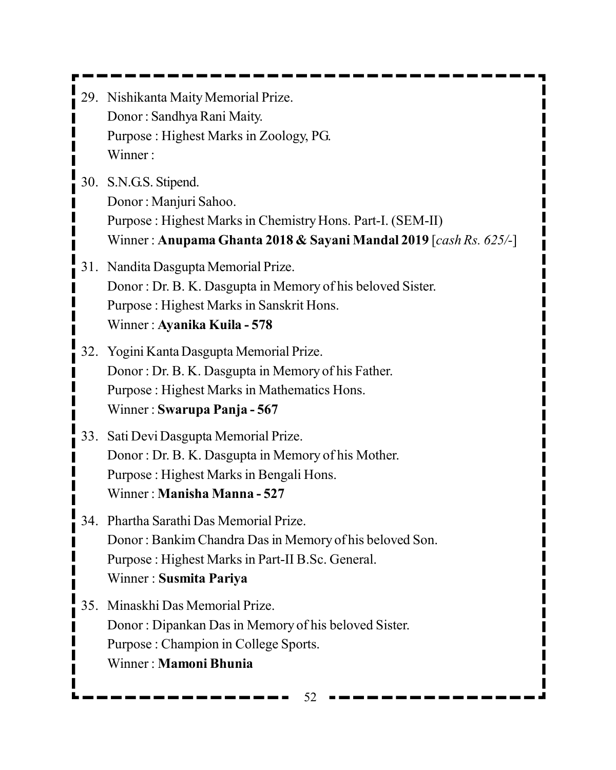|     | 29. Nishikanta Maity Memorial Prize.<br>Donor: Sandhya Rani Maity.<br>Purpose: Highest Marks in Zoology, PG.<br>Winner:                                                           |
|-----|-----------------------------------------------------------------------------------------------------------------------------------------------------------------------------------|
|     | 30. S.N.G.S. Stipend.<br>Donor: Manjuri Sahoo.<br>Purpose: Highest Marks in Chemistry Hons. Part-I. (SEM-II)<br>Winner: Anupama Ghanta 2018 & Sayani Mandal 2019 [cash Rs. 625/-] |
| 31. | Nandita Dasgupta Memorial Prize.<br>Donor: Dr. B. K. Dasgupta in Memory of his beloved Sister.<br>Purpose : Highest Marks in Sanskrit Hons.<br>Winner: Ayanika Kuila - 578        |
|     | Yogini Kanta Dasgupta Memorial Prize.<br>Donor: Dr. B. K. Dasgupta in Memory of his Father.<br>Purpose : Highest Marks in Mathematics Hons.<br>Winner: Swarupa Panja - 567        |
|     | 33. Sati Devi Dasgupta Memorial Prize.<br>Donor: Dr. B. K. Dasgupta in Memory of his Mother.<br>Purpose : Highest Marks in Bengali Hons.<br>Winner: Manisha Manna - 527           |
|     | 34. Phartha Sarathi Das Memorial Prize.<br>Donor: Bankim Chandra Das in Memory of his beloved Son.<br>Purpose : Highest Marks in Part-II B.Sc. General.<br>Winner: Susmita Pariya |
| 35. | Minaskhi Das Memorial Prize.<br>Donor: Dipankan Das in Memory of his beloved Sister.<br>Purpose : Champion in College Sports.<br>Winner: Mamoni Bhunia                            |

 $52 - -$ 

- -

Ō,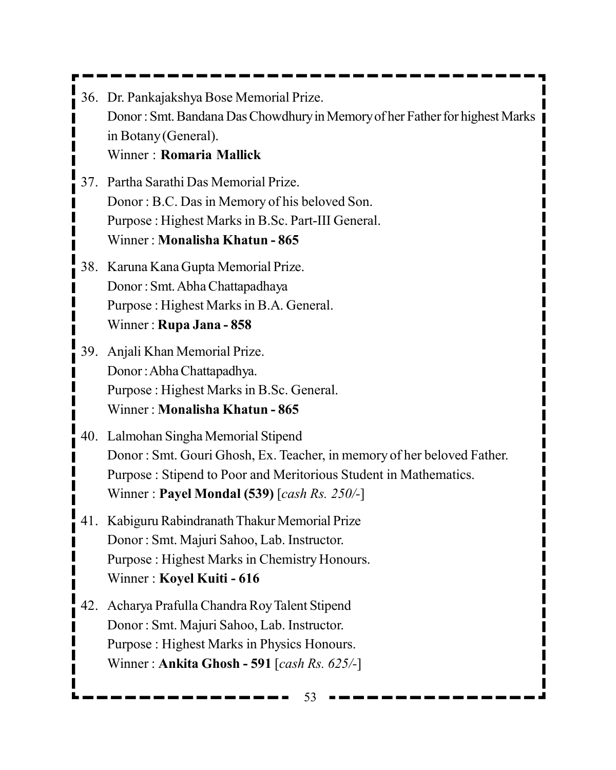- 36. Dr. Pankajakshya Bose Memorial Prize. Donor : Smt. Bandana Das Chowdhury in Memory of her Father for highest Marks in Botany (General). Winner : **Romaria Mallick**
- 37. Partha Sarathi Das Memorial Prize. Donor : B.C. Das in Memory of his beloved Son. Purpose : Highest Marks in B.Sc. Part-III General. Winner : **Monalisha Khatun - 865**
- 38. Karuna Kana Gupta Memorial Prize. Donor : Smt. Abha Chattapadhaya Purpose : Highest Marks in B.A. General. Winner : **Rupa Jana - 858**
- 39. Anjali Khan Memorial Prize. Donor : Abha Chattapadhya. Purpose : Highest Marks in B.Sc. General. Winner : **Monalisha Khatun - 865**
- 40. Lalmohan Singha Memorial Stipend Donor : Smt. Gouri Ghosh, Ex. Teacher, in memory of her beloved Father. Purpose : Stipend to Poor and Meritorious Student in Mathematics. Winner : **Payel Mondal (539)** [*cash Rs. 250/-*]
- 41. Kabiguru Rabindranath Thakur Memorial Prize Donor : Smt. Majuri Sahoo, Lab. Instructor. Purpose : Highest Marks in Chemistry Honours. Winner : **Koyel Kuiti - 616**
- 42. Acharya Prafulla Chandra Roy Talent Stipend Donor : Smt. Majuri Sahoo, Lab. Instructor. Purpose : Highest Marks in Physics Honours. Winner : **Ankita Ghosh - 591** [*cash Rs. 625/-*]